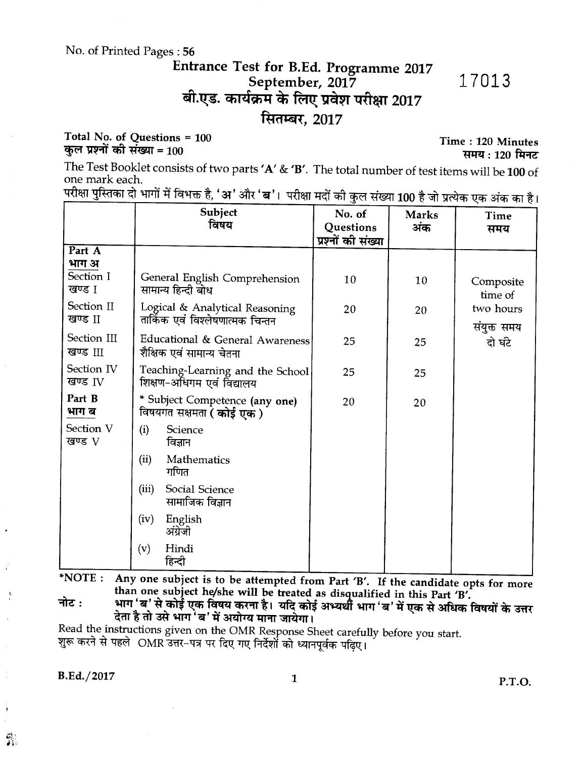#### No. of Printed Pages: 56

## Entrance Test for B.Ed. Programme 2017 September, 2017 बी.एड. कार्यक्रम के लिए प्रवेश परीक्षा 2017 सितम्बर, 2017

#### Total No. of Questions = 100 कुल प्रश्नों की संख्या = 100

The Test Booklet consists of two parts 'A' & 'B'. The total number of test items will be 100 of one mark each. in Links<br>Links

| परीक्षा पुस्तिका दो भागों में विभक्त है, 'अ' और 'ब'।  परीक्षा मदों की कुल संख्या 100 है जो प्रत्येक एक अंक का है। |  |  |  |  |  |  |  |  |  |
|-------------------------------------------------------------------------------------------------------------------|--|--|--|--|--|--|--|--|--|
|-------------------------------------------------------------------------------------------------------------------|--|--|--|--|--|--|--|--|--|

|                                | Subject<br>विषय                                                    | No. of                          | <b>Marks</b> | Time                     |
|--------------------------------|--------------------------------------------------------------------|---------------------------------|--------------|--------------------------|
|                                |                                                                    | Questions<br>प्रश्नों की संख्या | अंक          | समय                      |
| Part A<br>भाग अ                |                                                                    |                                 |              |                          |
| Section I<br>खण्ड 1            | General English Comprehension<br>सामान्य हिन्दी बोध                | 10                              | 10           | Composite<br>time of     |
| Section II<br>खण्ड II          | Logical & Analytical Reasoning<br>तार्किक एवं विश्लेषणात्मक चिन्तन | 20                              | 20           | two hours<br>संयुक्त समय |
| Section III<br>खण्ड III        | Educational & General Awareness<br>शैक्षिक एवं सामान्य चेतना       | 25                              | 25           | दो घंटे                  |
| Section IV<br>खण्ड $_{\rm IV}$ | Teaching-Learning and the School<br>शिक्षण-अधिगम एवं विद्यालय      | 25                              | 25           |                          |
| Part B<br>भाग ब                | * Subject Competence (any one)<br>विषयगत सक्षमता <b>( कोई एक )</b> | 20                              | 20           |                          |
| Section V<br>खण्ड ${\rm V}$    | (i)<br>Science<br>विज्ञान                                          |                                 |              |                          |
|                                | (ii)<br>Mathematics<br>गणित                                        |                                 |              |                          |
|                                | (iii)<br>Social Science<br>सामाजिक विज्ञान                         |                                 |              |                          |
|                                | (iv)<br>English<br>अंग्रेजी                                        |                                 |              |                          |
|                                | (v)<br>Hindi<br>हिन्दी                                             |                                 |              |                          |

Any one subject is to be attempted from Part 'B'. If the candidate opts for more  $*NOTE:$ than one subject he/she will be treated as disqualified in this Part 'B'.

भाग 'ब' से कोई एक विषय करना है। यदि कोई अभ्यर्थी भाग 'ब' में एक से अधिक विषयों के उत्तर नोट $:$ देता है तो उसे भाग 'ब' में अयोग्य माना जायेगा।

Read the instructions given on the OMR Response Sheet carefully before you start. शुरू करने से पहले OMR उत्तर-पत्र पर दिए गए निर्देशों को ध्यानपूर्वक पढ़िए।

B.Ed./2017

쮺

 $\mathbf{1}$ 

17013

Time: 120 Minutes

समय: 120 मिनट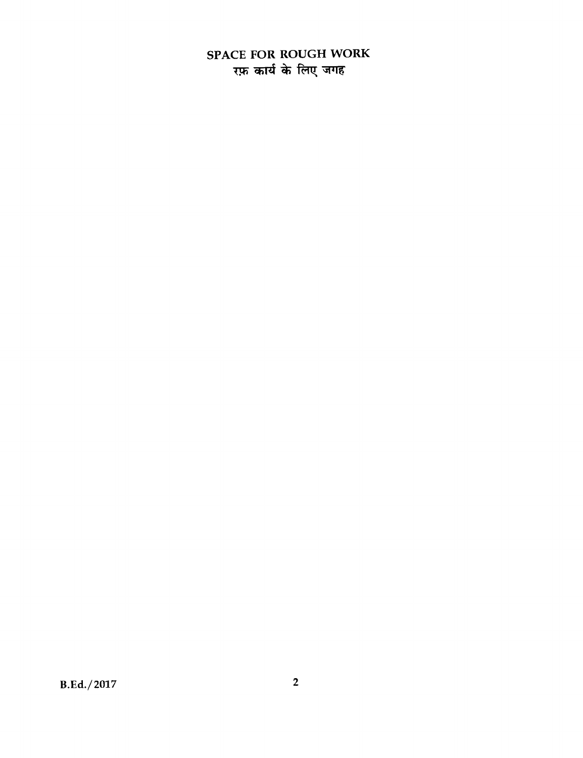## **SPACE FOR ROUGH WORK 77 Wzi \* fa7 ,<sup>311</sup>**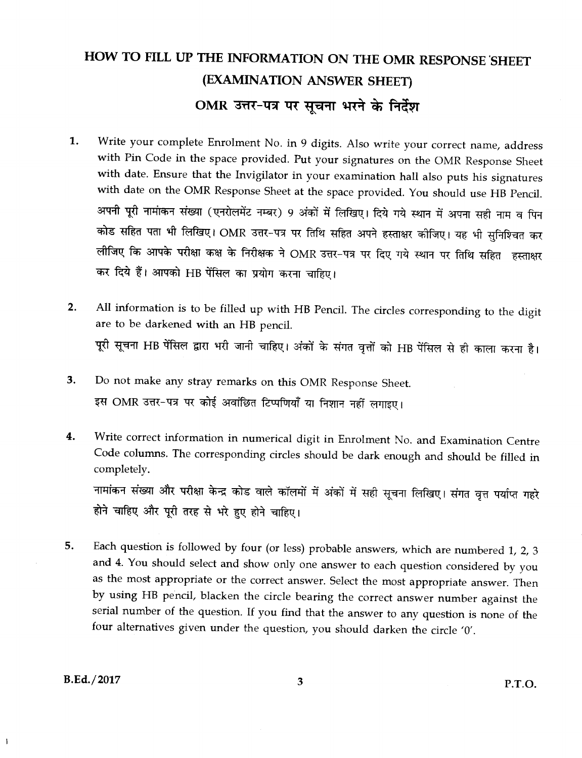# HOW TO FILL UP THE INFORMATION ON THE OMR RESPONSE SHEET (EXAMINATION ANSWER SHEET) OMR उत्तर-पत्र पर सूचना भरने के निर्देश

- 1. Write your complete Enrolment No. in 9 digits. Also write your correct name, address with Pin Code in the space provided. Put your signatures on the OMR Response Sheet with date. Ensure that the Invigilator in your examination hall also puts his signatures with date on the OMR Response Sheet at the space provided. You should use HB Pencil. अपनी पूरी नामांकन संख्या (एनरोलमेंट नम्बर) 9 अंकों में लिखिए। दिये गये स्थान में अपना सही नाम व पिन कोड सहित पता भी लिखिए। OMR उत्तर-पत्र पर तिथि सहित अपने हस्ताक्षर कीजिए। यह भी सुनिश्चित कर लीजिए कि आपके परीक्षा कक्ष के निरीक्षक ने OMR उत्तर-पत्र पर दिए गये स्थान पर तिथि सहित हस्ताक्षर कर दिये हैं। आपको HB पेंसिल का प्रयोग करना चाहिए।
- All information is to be filled up with HB Pencil. The circles corresponding to the digit  $2.$ are to be darkened with an HB pencil. पूरी सूचना HB पेंसिल द्वारा भरी जानी चाहिए। अंकों के संगत वृत्तों को HB पेंसिल से ही काला करना है।
- 3. Do not make any stray remarks on this OMR Response Sheet. इस OMR उत्तर-पत्र पर कोई अवांछित टिप्पणियाँ या निशान नहीं लगाइए।
- Write correct information in numerical digit in Enrolment No. and Examination Centre 4. Code columns. The corresponding circles should be dark enough and should be filled in completely.

नामांकन संख्या और परीक्षा केन्द्र कोड वाले कॉलमों में अंकों में सही सूचना लिखिए। संगत वृत्त पर्याप्त गहरे होने चाहिए और पूरी तरह से भरे हुए होने चाहिए।

Each question is followed by four (or less) probable answers, which are numbered 1, 2, 3 5. and 4. You should select and show only one answer to each question considered by you as the most appropriate or the correct answer. Select the most appropriate answer. Then by using HB pencil, blacken the circle bearing the correct answer number against the serial number of the question. If you find that the answer to any question is none of the four alternatives given under the question, you should darken the circle '0'.

 $B.Ed. / 2017$ 

 $\mathbf{I}$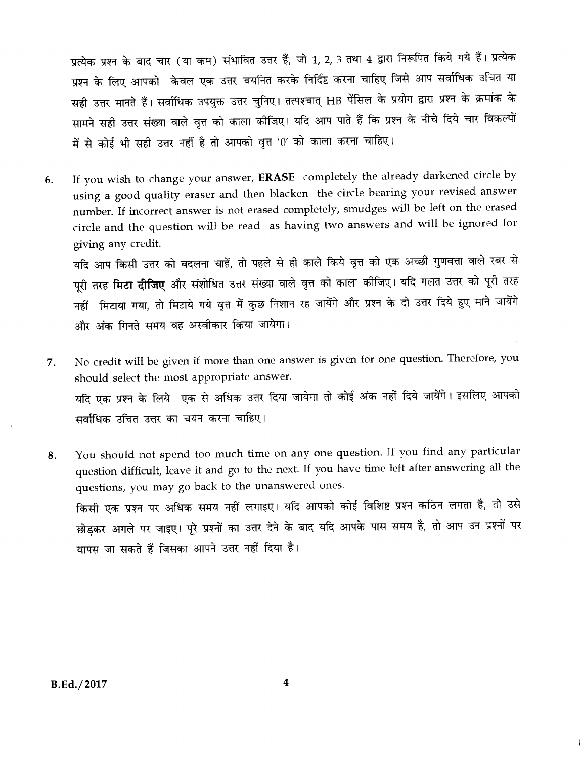प्रत्येक प्रश्न के बाद चार (या कम) संभावित उत्तर हैं, जो 1, 2, 3 तथा 4 द्वारा निरूपित किये गये हैं। प्रत्येक प्रश्न के लिए आपको केवल एक उत्तर चयनित करके निर्दिष्ट करना चाहिए जिसे आप सर्वाधिक उचित या सही उत्तर मानते हैं। सर्वाधिक उपयुक्त उत्तर चुनिए। तत्पश्चात् HB पेंसिल के प्रयोग द्वारा प्रश्न के क्रमांक के सामने सही उत्तर संख्या वाले वृत्त को काला कीजिए। यदि आप पाते हैं कि प्रश्न के नीचे दिये चार विकल्पों में से कोई भी सही उत्तर नहीं है तो आपको वृत्त '0' को काला करना चाहिए।

If you wish to change your answer, ERASE completely the already darkened circle by 6. using a good quality eraser and then blacken the circle bearing your revised answer number. If incorrect answer is not erased completely, smudges will be left on the erased circle and the question will be read as having two answers and will be ignored for giving any credit.

यदि आप किसी उत्तर को बदलना चाहें, तो पहले से ही काले किये वृत्त को एक अच्छी गुणवत्ता वाले रबर से पूरी तरह **मिटा दीजिए** और संशोधित उत्तर संख्या वाले वृत्त को काला कीजिए। यदि गलत उत्तर को पूरी तरह नहीं मिटाया गया, तो मिटाये गये वृत्त में कुछ निशान रह जायेंगे और प्रश्न के दो उत्तर दिये हुए माने जायेंगे और अंक गिनते समय वह अस्वीकार किया जायेगा।

- No credit will be given if more than one answer is given for one question. Therefore, you 7. should select the most appropriate answer. यदि एक प्रश्न के लिये एक से अधिक उत्तर दिया जायेगा तो कोई अंक नहीं दिये जायेंगे। इसलिए आपको सर्वाधिक उचित उत्तर का चयन करना चाहिए।
- You should not spend too much time on any one question. If you find any particular 8. question difficult, leave it and go to the next. If you have time left after answering all the questions, you may go back to the unanswered ones. किसी एक प्रश्न पर अधिक समय नहीं लगाइए। यदि आपको कोई विशिष्ट प्रश्न कठिन लगता है, तो उसे छोड़कर अगले पर जाइए। पूरे प्रश्नों का उत्तर देने के बाद यदि आपके पास समय है, तो आप उन प्रश्नों पर वापस जा सकते हैं जिसका आपने उत्तर नहीं दिया है।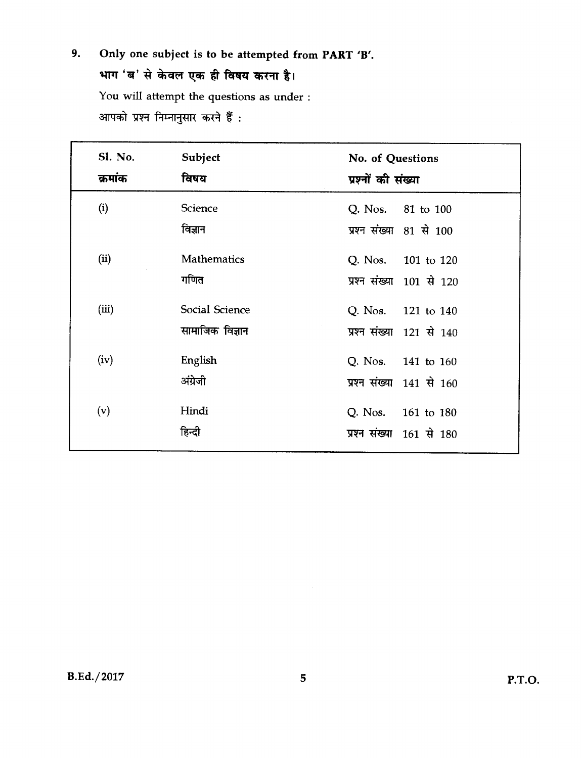**9. Only one subject is to be attempted from PART 'B'. %TM `W' 14 4)citi 7W \* ftErer wt.-4r I- <sup>1</sup>** You will attempt the questions as under : आपको प्रश्न निम्नानुसार करने हैं:

| Sl. No.<br>क्रमांक | Subject<br>विषय                   | No. of Questions<br>प्रश्नों की संख्या         |
|--------------------|-----------------------------------|------------------------------------------------|
| (i)                | Science<br>विज्ञान                | Q. Nos. 81 to 100<br>प्रश्न संख्या 81 से 100   |
| (ii)               | <b>Mathematics</b><br>गणित        | Q. Nos. 101 to 120<br>प्रश्न संख्या 101 से 120 |
| (iii)              | Social Science<br>सामाजिक विज्ञान | Q. Nos. 121 to 140<br>प्रश्न संख्या 121 से 140 |
| (iv)               | English<br>अंग्रेजी               | Q. Nos. 141 to 160<br>प्रश्न संख्या 141 से 160 |
| (v)                | Hindi<br>हिन्दी                   | Q. Nos. 161 to 180<br>प्रश्न संख्या 161 से 180 |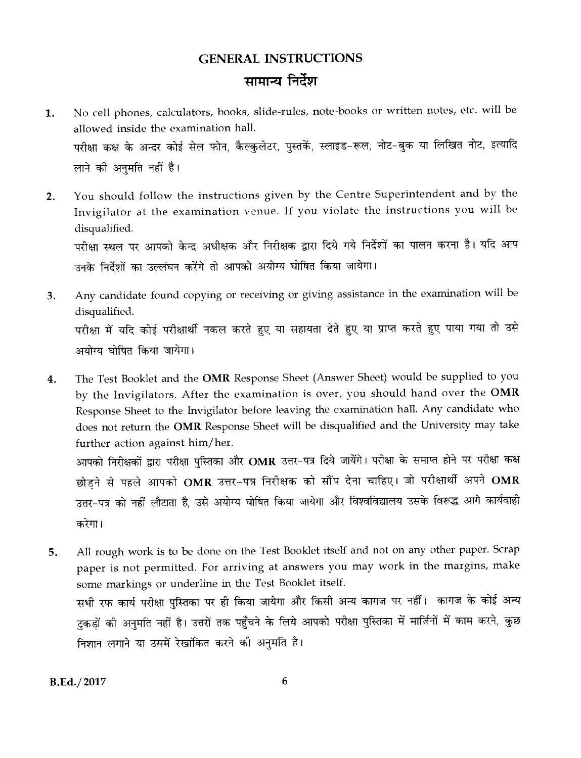# **GENERAL INSTRUCTIONS** सामान्य निर्देश

- No cell phones, calculators, books, slide-rules, note-books or written notes, etc. will be 1. allowed inside the examination hall. परीक्षा कक्ष के अन्दर कोई सेल फोन, कैल्कुलेटर, पुस्तकें, स्लाइड-रूल, नोट-बुक या लिखित नोट, इत्यादि लाने की अनुमति नहीं है।
- You should follow the instructions given by the Centre Superintendent and by the  $2.$ Invigilator at the examination venue. If you violate the instructions you will be disqualified. परीक्षा स्थल पर आपको केन्द्र अधीक्षक और निरीक्षक द्वारा दिये गये निर्देशों का पालन करना है। यदि आप

उनके निर्देशों का उल्लंघन करेंगे तो आपको अयोग्य घोषित किया जायेगा।

- Any candidate found copying or receiving or giving assistance in the examination will be 3. disqualified. परीक्षा में यदि कोई परीक्षार्थी नकल करते हुए या सहायता देते हुए या प्राप्त करते हुए पाया गया तो उसे अयोग्य घोषित किया जायेगा।
- The Test Booklet and the OMR Response Sheet (Answer Sheet) would be supplied to you  $\boldsymbol{4}$ . by the Invigilators. After the examination is over, you should hand over the OMR Response Sheet to the Invigilator before leaving the examination hall. Any candidate who does not return the OMR Response Sheet will be disqualified and the University may take further action against him/her.

आपको निरीक्षकों द्वारा परीक्षा पुस्तिका और OMR उत्तर-पत्र दिये जायेंगे। परीक्षा के समाप्त होने पर परीक्षा कक्ष छोड़ने से पहले आपको OMR उत्तर-पत्र निरीक्षक को सौंप देना चाहिए। जो परीक्षार्थी अपने OMR उत्तर-पत्र को नहीं लौटाता है, उसे अयोग्य घोषित किया जायेगा और विश्वविद्यालय उसके विरूद्ध आगे कार्यवाही करेगा।

All rough work is to be done on the Test Booklet itself and not on any other paper. Scrap 5. paper is not permitted. For arriving at answers you may work in the margins, make some markings or underline in the Test Booklet itself. सभी रफ कार्य परीक्षा पुस्तिका पर ही किया जायेगा और किसी अन्य कागज पर नहीं। कागज के कोई अन्य टुकड़ों की अनुमति नहीं है। उत्तरों तक पहुँचने के लिये आपको परीक्षा पुस्तिका में मार्जिनों में काम करने, कुछ निशान लगाने या उसमें रेखांकित करने की अनुमति है।

B.Ed./2017

6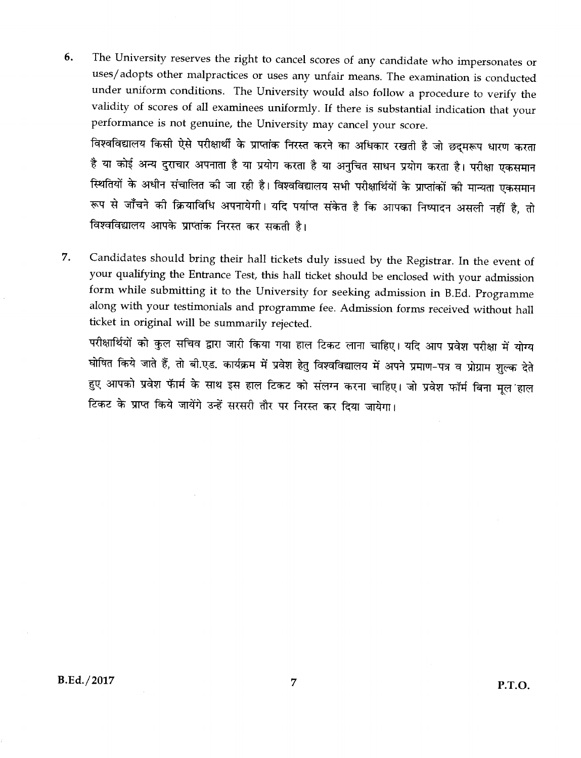The University reserves the right to cancel scores of any candidate who impersonates or 6. uses/adopts other malpractices or uses any unfair means. The examination is conducted under uniform conditions. The University would also follow a procedure to verify the validity of scores of all examinees uniformly. If there is substantial indication that your performance is not genuine, the University may cancel your score.

विश्वविद्यालय किसी ऐसे परीक्षार्थी के प्राप्तांक निरस्त करने का अधिकार रखती है जो छद्मरूप धारण करता है या कोई अन्य दुराचार अपनाता है या प्रयोग करता है या अनुचित साधन प्रयोग करता है। परीक्षा एकसमान स्थितियों के अधीन संचालित की जा रही है। विश्वविद्यालय सभी परीक्षार्थियों के प्राप्तांकों की मान्यता एकसमान रूप से जाँचने की क्रियाविधि अपनायेगी। यदि पर्याप्त संकेत है कि आपका निष्पादन असली नहीं है, तो विश्वविद्यालय आपके प्राप्तांक निरस्त कर सकती है।

7. Candidates should bring their hall tickets duly issued by the Registrar. In the event of your qualifying the Entrance Test, this hall ticket should be enclosed with your admission form while submitting it to the University for seeking admission in B.Ed. Programme along with your testimonials and programme fee. Admission forms received without hall ticket in original will be summarily rejected.

परीक्षार्थियों को कुल सचिव द्वारा जारी किया गया हाल टिकट लाना चाहिए। यदि आप प्रवेश परीक्षा में योग्य घोषित किये जाते हैं, तो बी.एड. कार्यक्रम में प्रवेश हेतु विश्वविद्यालय में अपने प्रमाण-पत्र व प्रोग्राम शुल्क देते हुए आपको प्रवेश फॅार्म के साथ इस हाल टिकट को संलग्न करना चाहिए। जो प्रवेश फॉर्म बिना मूल हाल टिकट के प्राप्त किये जायेंगे उन्हें सरसरी तौर पर निरस्त कर दिया जायेगा।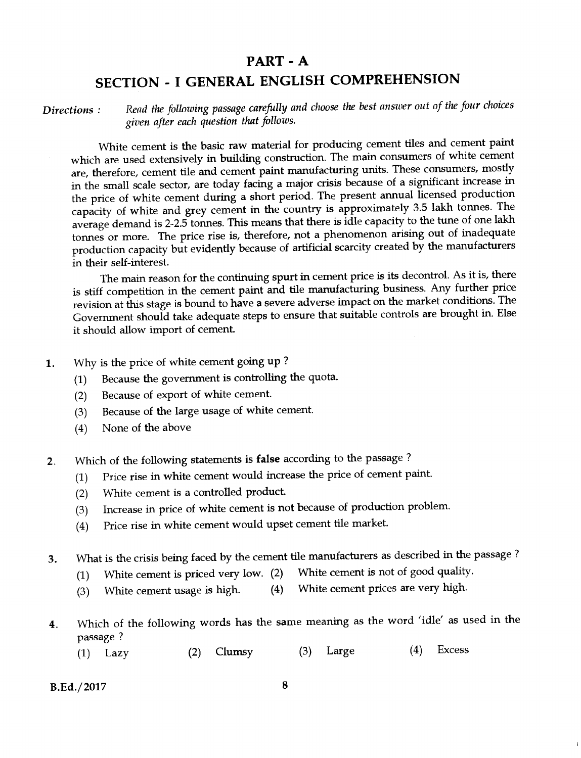## **PART - A**

# **SECTION - I GENERAL ENGLISH COMPREHENSION**

*Read the following passage carefully and choose the best answer out of the four choices given after each question that follows. Directions :* 

White cement is the basic raw material for producing cement tiles and cement paint which are used extensively in building construction. The main consumers of white cement are, therefore, cement tile and cement paint manufacturing units. These consumers, mostly in the small scale sector, are today facing a major crisis because of a significant increase in the price of white cement during a short period. The present annual licensed production capacity of white and grey cement in the country is approximately 3.5 lakh tonnes. The average demand is 2-2.5 tonnes. This means that there is idle capacity to the tune of one lakh tonnes or more. The price rise is, therefore, not a phenomenon arising out of inadequate production capacity but evidently because of artificial scarcity created by the manufacturers in their self-interest.

The main reason for the continuing spurt in cement price is its decontrol. As it is, there is stiff competition in the cement paint and tile manufacturing business. Any further price revision at this stage is bound to have a severe adverse impact on the market conditions. The Government should take adequate steps to ensure that suitable controls are brought in. Else it should allow import of cement.

- **1.** Why is the price of white cement going up ?
	- (1) Because the government is controlling the quota.
	- (2) Because of export of white cement.
	- (3) Because of the large usage of white cement.
	- (4) None of the above
- **2.** Which of the following statements is **false** according to the passage ?
	- (1) Price rise in white cement would increase the price of cement paint.
	- (2) White cement is a controlled product.
	- (3) Increase in price of white cement is not because of production problem.
	- (4) Price rise in white cement would upset cement tile market.
- **3.** What is the crisis being faced by the cement tile manufacturers as described in the passage ?
	- (1) White cement is priced very low. (2) White cement is not of good quality.
	- (3) White cement usage is high. (4) White cement prices are very high.
- **4.** Which of the following words has the same meaning as the word 'idle' as used in the passage ?
	- (1) Lazy (2) Clumsy (3) Large (4) Excess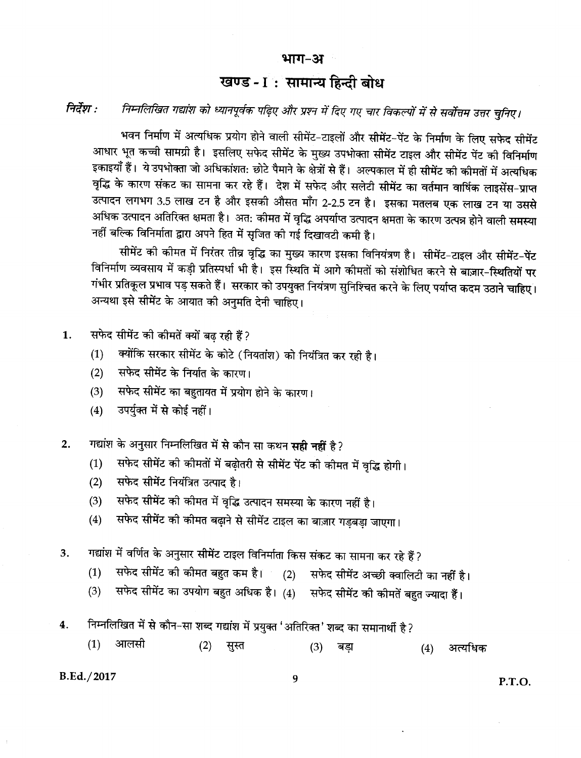#### भाग-अ

## खण्ड-I: सामान्य हिन्दी बोध

#### निर्देश : निम्नलिखित गद्यांश को ध्यानपूर्वक पढ़िए और प्रश्न में दिए गए चार विकल्पों में से सर्वोत्तम उत्तर चुनिए।

भवन निर्माण में अत्यधिक प्रयोग होने वाली सीमेंट-टाइलों और सीमेंट-पेंट के निर्माण के लिए सफेद सीमेंट आधार भूत कच्ची सामग्री है। इसलिए सफेद सीमेंट के मुख्य उपभोक्ता सीमेंट टाइल और सीमेंट पेंट की विनिर्माण इकाइयाँ हैं। ये उपभोक्ता जो अधिकांशत: छोटे पैमाने के क्षेत्रों से हैं। अल्पकाल में ही सीमेंट की कीमतों में अत्यधिक वृद्धि के कारण संकट का सामना कर रहे हैं। देश में सफेद और सलेटी सीमेंट का वर्तमान वार्षिक लाइसेंस-प्राप्त उत्पादन लगभग 3.5 लाख टन है और इसकी औसत माँग 2-2.5 टन है। इसका मतलब एक लाख टन या उससे अधिक उत्पादन अतिरिक्त क्षमता है। अत: कीमत में वृद्धि अपर्याप्त उत्पादन क्षमता के कारण उत्पन्न होने वाली समस्या नहीं बल्कि विनिर्माता द्वारा अपने हित में सुजित की गई दिखावटी कमी है।

सीमेंट की कीमत में निरंतर तीव्र वृद्धि का मुख्य कारण इसका विनियंत्रण है। सीमेंट-टाइल और सीमेंट-पेंट विनिर्माण व्यवसाय में कड़ी प्रतिस्पर्धा भी है। इस स्थिति में आगे कीमतों को संशोधित करने से बाज़ार-स्थितियों पर गंभीर प्रतिकूल प्रभाव पड़ सकते हैं। सरकार को उपयुक्त नियंत्रण सुनिश्चित करने के लिए पर्याप्त कदम उठाने चाहिए। अन्यथा इसे सीमेंट के आयात की अनुमति देनी चाहिए।

- 1. सफेद सीमेंट की कीमतें क्यों बढ रही हैं?
	- क्योंकि सरकार सीमेंट के कोटे (नियतांश) को नियंत्रित कर रही है।  $(1)$
	- सफेद सीमेंट के निर्यात के कारण।  $(2)$
	- सफेद सीमेंट का बहुतायत में प्रयोग होने के कारण।  $(3)$
	- उपर्युक्त में से कोई नहीं।  $(4)$
- गद्यांश के अनुसार निम्नलिखित में से कौन सा कथन सही नहीं है?  $2.$ 
	- सफेद सीमेंट की कीमतों में बढ़ोतरी से सीमेंट पेंट की कीमत में वृद्धि होगी।  $(1)$
	- $(2)$ सफेद सीमेंट नियंत्रित उत्पाद है।
	- सफेद सीमेंट की कीमत में वृद्धि उत्पादन समस्या के कारण नहीं है।  $(3)$
	- सफेद सीमेंट की कीमत बढ़ाने से सीमेंट टाइल का बाज़ार गड़बड़ा जाएगा।  $(4)$
- गद्यांश में वर्णित के अनुसार सीमेंट टाइल विनिर्माता किस संकट का सामना कर रहे हैं ? 3.
	- सफेद सीमेंट की कीमत बहुत कम है। (2)  $(1)$ सफेद सीमेंट अच्छी क्वालिटी का नहीं है।
	- सफेद सीमेंट का उपयोग बहुत अधिक है। (4) सफेद सीमेंट की कीमतें बहुत ज्यादा हैं।  $(3)$
- निम्नलिखित में से कौन-सा शब्द गद्यांश में प्रयुक्त 'अतिरिक्त' शब्द का समानार्थी है?  $4.$ 
	- $(1)$ आलसी  $(2)$ सुस्त बड़ा  $(3)$  $(4)$ अत्यधिक

#### B.Ed./2017

**P.T.O.** 

9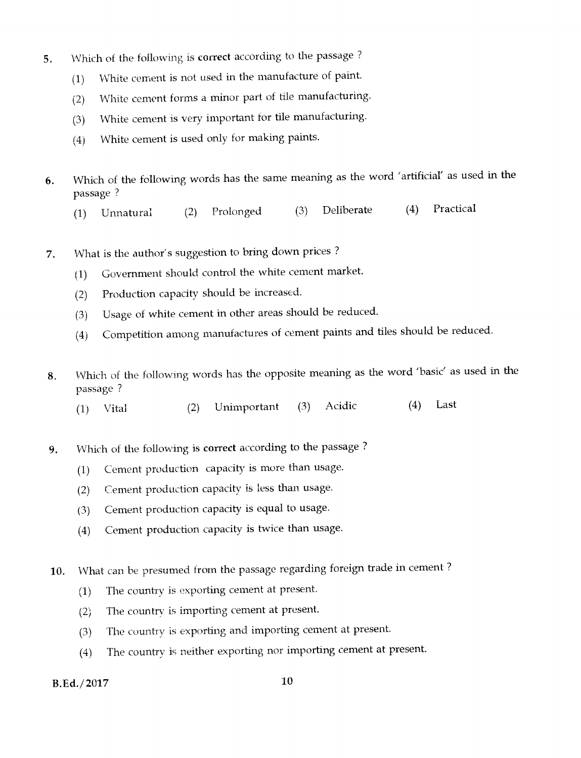- 5. Which of the following is correct according to the passage ?
	- (1) White cement is not used in the manufacture of paint.
	- (2) White cement forms a minor part of tile manufacturing.
	- (3) White cement is very important for tile manufacturing.
	- (4) White cement is used only for making paints.
- 6. Which of the following words has the same meaning as the word 'artificial' as used in the passage ?
	- (1) Unnatural (2) Prolonged (3) Deliberate (4) Practical
- 7. What is the author's suggestion to bring down prices ?
	- (1) Government should control the white cement market.
	- (2) Production capacity should be increased.
	- (3) Usage of white cement in other areas should be reduced.
	- (4) Competition among manufactures of cement paints and tiles should be reduced.
- 8. Which of the following words has the opposite meaning as the word 'basic' as used in the passage ?
	- (1) Vital (2) Unimportant (3) Acidic (4) Last
- 9. Which of the following is correct according to the passage ?
	- (1) Cement production capacity is more than usage.
	- (2) Cement production capacity is less than usage.
	- (3) Cement production capacity is equal to usage.
	- (4) Cement production capacity is twice than usage.
- 10. What can be presumed from the passage regarding foreign trade in cement ?
	- (1) The country is exporting cement at present.
	- (2) The country is importing cement at present.
	- (3) The country is exporting and importing cement at present.
	- (4) The country is neither exporting nor importing cement at present.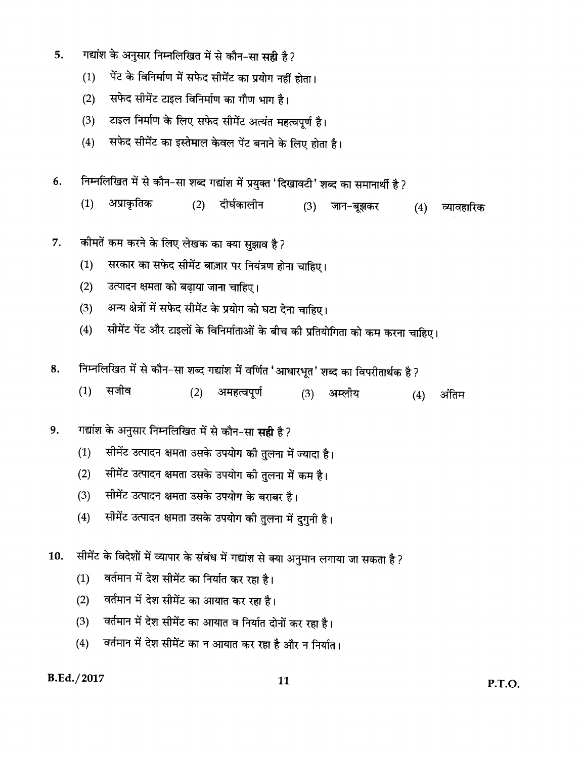- गद्यांश के अनुसार निम्नलिखित में से कौन-सा सही है? 5.
	- पेंट के विनिर्माण में सफेद सीमेंट का प्रयोग नहीं होता।  $(1)$
	- सफेद सीमेंट टाइल विनिर्माण का गौण भाग है।  $(2)$
	- टाइल निर्माण के लिए सफेद सीमेंट अत्यंत महत्वपूर्ण है।  $(3)$
	- सफेद सीमेंट का इस्तेमाल केवल पेंट बनाने के लिए होता है।  $(4)$
- निम्नलिखित में से कौन-सा शब्द गद्यांश में प्रयुक्त 'दिखावटी' शब्द का समानार्थी है ? 6.
	- अप्राकृतिक  $(1)$  $(2)$ दीर्घकालीन  $(3)$ जान-बूझकर  $(4)$ व्यावहारिक
- कीमतें कम करने के लिए लेखक का क्या सुझाव है? 7.
	- सरकार का सफेद सीमेंट बाज़ार पर नियंत्रण होना चाहिए।  $(1)$
	- उत्पादन क्षमता को बढ़ाया जाना चाहिए।  $(2)$
	- अन्य क्षेत्रों में सफेद सीमेंट के प्रयोग को घटा देना चाहिए।  $(3)$
	- सीमेंट पेंट और टाइलों के विनिर्माताओं के बीच की प्रतियोगिता को कम करना चाहिए।  $(4)$
- निम्नलिखित में से कौन-सा शब्द गद्यांश में वर्णित 'आधारभूत' शब्द का विपरीतार्थक है ? 8.
	- $(1)$ सजीव  $(2)$ अमहत्वपूर्ण  $(3)$ अम्लीय अंतिम  $(4)$
- गद्यांश के अनुसार निम्नलिखित में से कौन-सा सही है? 9.
	- सीमेंट उत्पादन क्षमता उसके उपयोग की तुलना में ज्यादा है।  $(1)$
	- सीमेंट उत्पादन क्षमता उसके उपयोग की तुलना में कम है।  $(2)$
	- $(3)$ सीमेंट उत्पादन क्षमता उसके उपयोग के बराबर है।
	- सीमेंट उत्पादन क्षमता उसके उपयोग की तुलना में दुगुनी है।  $(4)$
- सीमेंट के विदेशों में व्यापार के संबंध में गद्यांश से क्या अनुमान लगाया जा सकता है ? 10.
	- वर्तमान में देश सीमेंट का निर्यात कर रहा है।  $(1)$
	- वर्तमान में देश सीमेंट का आयात कर रहा है।  $(2)$
	- वर्तमान में देश सीमेंट का आयात व निर्यात दोनों कर रहा है।  $(3)$
	- वर्तमान में देश सीमेंट का न आयात कर रहा है और न निर्यात।  $(4)$

#### B.Ed./2017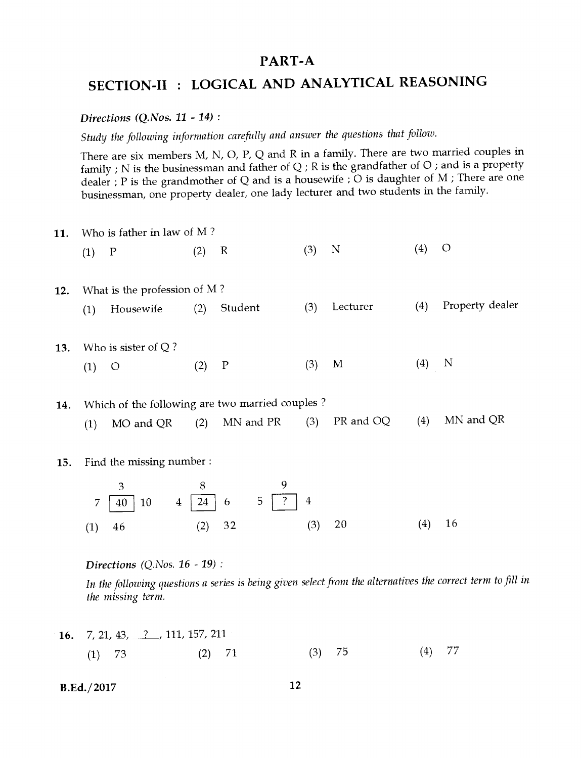## **PART-A**

# **SECTION-II : LOGICAL AND ANALYTICAL REASONING**

#### *Directions (Q.Nos. 11 - 14) :*

*Study the following information carefully and answer the questions that follow.* 

There are six members M, N, 0, P, Q and R in a family. There are two married couples in family ; N is the businessman and father of Q ; R is the grandfather of 0 ; and is a property dealer ; P is the grandmother of Q and is a housewife ; O is daughter of M ; There are one businessman, one property dealer, one lady lecturer and two students in the family.

| 11. |     | Who is father in law of $M$ ?   |     |                                                  |     |             |     |                                                                                                             |
|-----|-----|---------------------------------|-----|--------------------------------------------------|-----|-------------|-----|-------------------------------------------------------------------------------------------------------------|
|     | (1) | $\mathbf P$                     | (2) | $\mathbb R$                                      | (3) | $\mathbf N$ | (4) | $\circ$                                                                                                     |
| 12. |     | What is the profession of M?    |     |                                                  |     |             |     |                                                                                                             |
|     | (1) | Housewife                       | (2) | Student                                          | (3) | Lecturer    | (4) | Property dealer                                                                                             |
| 13. |     | Who is sister of $Q$ ?          |     |                                                  |     |             |     |                                                                                                             |
|     | (1) | $\circ$                         | (2) | $\mathbf P$                                      | (3) | M           | (4) | N                                                                                                           |
| 14. |     |                                 |     | Which of the following are two married couples ? |     |             |     |                                                                                                             |
|     | (1) | MO and QR                       | (2) | MN and PR                                        | (3) | PR and OQ   | (4) | MN and QR                                                                                                   |
| 15. |     | Find the missing number :       |     |                                                  |     |             |     |                                                                                                             |
|     |     | 3                               | 8   | 9                                                |     |             |     |                                                                                                             |
|     | 7   | 10<br>40<br>$\overline{4}$      | 24  | $\ddot{?}$<br>5<br>6                             | 4   |             |     |                                                                                                             |
|     | (1) | 46                              | (2) | 32                                               | (3) | 20          | (4) | 16                                                                                                          |
|     |     | Directions $(Q.Nos. 16 - 19)$ : |     |                                                  |     |             |     |                                                                                                             |
|     |     | the missing term.               |     |                                                  |     |             |     | In the following questions a series is being given select from the alternatives the correct term to fill in |

**16.** 7, 21, 43, <u>2</u>, 111, 157, 211 (1) 73 (2) 71 (3) 75 (4) 77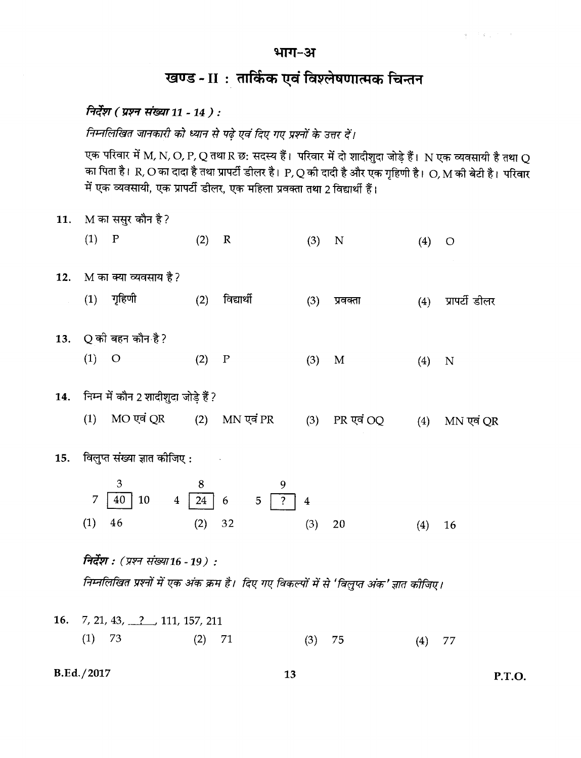#### भाग-अ

## खण्ड - II : तार्किक एवं विश्लेषणात्मक चिन्तन

## निर्देश (प्रश्न संख्या 11 - 14 ) :

निम्नलिखित जानकारी को ध्यान से पढ़े एवं दिए गए प्रश्नों के उत्तर दें।

एक परिवार में M, N, O, P, Q तथा R छ: सदस्य हैं। परिवार में दो शादीशुदा जोड़े हैं। N एक व्यवसायी है तथा Q का पिता है। R, O का दादा है तथा प्रापर्टी डीलर है। P, Q की दादी है और एक गृहिणी है। O, M की बेटी है। परिवार में एक व्यवसायी, एक प्रापर्टी डीलर, एक महिला प्रवक्ता तथा 2 विद्यार्थी हैं।

M का ससुर कौन है? 11.  $(1)$  P  $(2)$  $\mathbb R$  $(3)$  N  $(4)$  O M का क्या व्यवसाय है? 12.  $(1)$  गृहिणी विद्यार्थी  $(2)$  $(3)$ प्रवक्ता  $(4)$ प्रापर्टी डीलर Q की बहन कौन है?  $13.$  $(1)$  O  $(2)$   $P$  $(3)$  $\mathbf{M}$  $(4)$  N निम्न में कौन 2 शादीशुदा जोड़े हैं ? 14.  $(1)$  MO एवं QR MN एवं PR  $(2)$ PR एवं OQ  $(3)$ MN एवं QR  $(4)$ विलुप्त संख्या ज्ञात कीजिए : 15. 3 8  $\overline{7}$ 40  $\vert$  10  $24$  $6\phantom{1}6$  $5^{\circ}$  $\overline{4}$  $\overline{4}$  $(1)$ 46  $(2)$ 32  $(3)$ 20  $(4)$ 16 निर्देश : (प्रश्न संख्या16 - 19) : निम्नलिखित प्रश्नों में एक अंक क्रम है। दिए गए विकल्पों में से 'विलुप्त अंक' ज्ञात कीजिए। 16.  $7, 21, 43, 7, 111, 157, 211$  $(1)$  73  $(2)$ 71  $(3)$ 75  $(4)$  77

B.Ed./2017

P.T.O.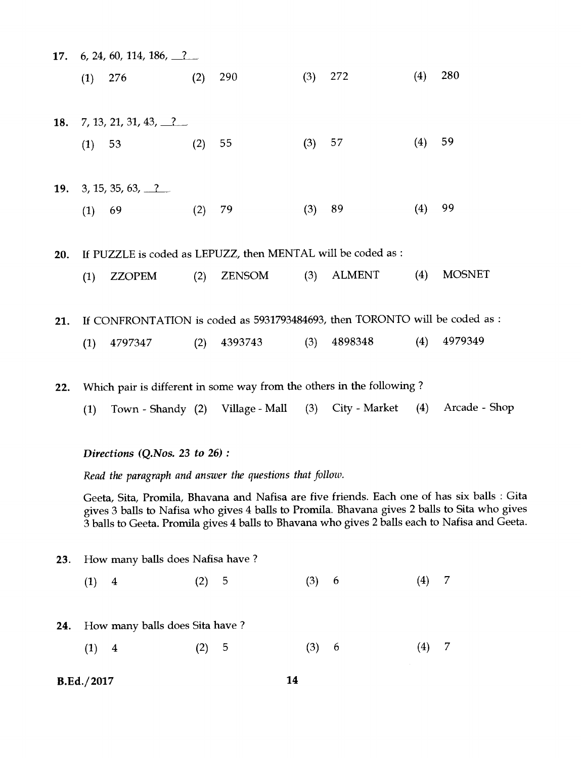|     |     | 17. 6, 24, 60, 114, 186, $\frac{?}{?}$ |     |                                                              |     |                                                                                             |     |               |
|-----|-----|----------------------------------------|-----|--------------------------------------------------------------|-----|---------------------------------------------------------------------------------------------|-----|---------------|
|     | (1) | 276                                    | (2) | 290                                                          | (3) | 272                                                                                         | (4) | 280           |
| 18. |     | 7, 13, 21, 31, 43, $\frac{2}{1}$       |     |                                                              |     |                                                                                             |     |               |
|     |     | (1) 53                                 | (2) | 55                                                           | (3) | 57                                                                                          | (4) | 59            |
| 19. |     | 3, 15, 35, 63, 2                       |     |                                                              |     |                                                                                             |     |               |
|     |     | $(1)$ 69                               | (2) | 79                                                           | (3) | 89                                                                                          | (4) | 99            |
| 20. |     |                                        |     | If PUZZLE is coded as LEPUZZ, then MENTAL will be coded as : |     |                                                                                             |     |               |
|     | (1) | ZZOPEM                                 | (2) |                                                              |     | ZENSOM (3) ALMENT (4)                                                                       |     | <b>MOSNET</b> |
| 21. |     |                                        |     |                                                              |     | If CONFRONTATION is coded as 5931793484693, then TORONTO will be coded as                   |     |               |
|     | (1) | 4797347                                | (2) | 4393743                                                      |     | $(3)$ 4898348 $(4)$                                                                         |     | 4979349       |
|     |     |                                        |     |                                                              |     | $14.1 + 1 = 1$ $10.2 + 10.1$ $10.2 + 10.2 + 10.2$ $10.2 + 10.2 + 10.2$ $10.2 + 10.2 + 10.2$ |     |               |

22. Which pair is different in some way from the others in the following ?

(1) Town - Shandy (2) Village - Mall (3) City - Market (4) Arcade - Shop

*Directions (Q.Nos. 23 to* 26) :

*Read the paragraph and answer the questions that follow.* 

Geeta, Sita, Promila, Bhavana and Nafisa are five friends. Each one of has six balls : Gita gives 3 balls to Nafisa who gives 4 balls to Promila. Bhavana gives 2 balls to Sita who gives 3 balls to Geeta. Promila gives 4 balls to Bhavana who gives 2 balls each to Nafisa and Geeta.

- 23. How many balls does Nafisa have ?
	- $(1)$  4  $(2)$  5  $(3)$  6  $(4)$  7
- How many balls does Sita have ? **24.**
	- $(1)$  4  $(2)$  5  $(3)$  6  $(4)$  7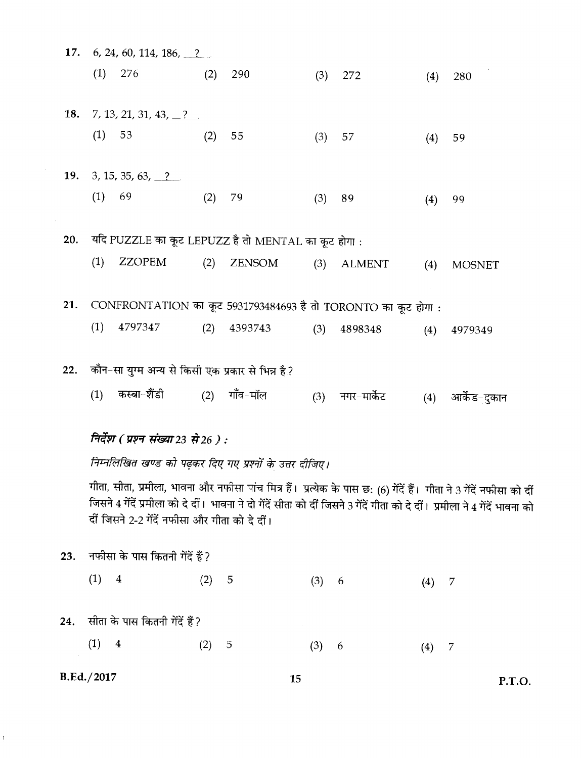| 17. |            | 6, 24, 60, 114, 186, $\frac{?}{?}$                            |     |          |     |                 |     |                                                                                                                                                                                                                                                        |
|-----|------------|---------------------------------------------------------------|-----|----------|-----|-----------------|-----|--------------------------------------------------------------------------------------------------------------------------------------------------------------------------------------------------------------------------------------------------------|
|     | (1)        | 276                                                           | (2) | 290      | (3) | 272             | (4) | 280                                                                                                                                                                                                                                                    |
| 18. |            | 7, 13, 21, 31, 43, $\frac{2}{1}$                              |     |          |     |                 |     |                                                                                                                                                                                                                                                        |
|     | (1)        | 53                                                            | (2) | 55       | (3) | 57              | (4) | 59                                                                                                                                                                                                                                                     |
| 19. |            | 3, 15, 35, 63, 2                                              |     |          |     |                 |     |                                                                                                                                                                                                                                                        |
|     | (1)        | 69                                                            | (2) | 79       | (3) | 89              | (4) | 99                                                                                                                                                                                                                                                     |
| 20. |            | यदि PUZZLE का कूट LEPUZZ है तो MENTAL का कूट होगा :           |     |          |     |                 |     |                                                                                                                                                                                                                                                        |
|     | (1)        | <b>ZZOPEM</b>                                                 | (2) | ZENSOM   | (3) | <b>ALMENT</b>   | (4) | <b>MOSNET</b>                                                                                                                                                                                                                                          |
| 21. |            | CONFRONTATION का कूट 5931793484693 है तो TORONTO का कूट होगा: |     |          |     |                 |     |                                                                                                                                                                                                                                                        |
|     | (1)        | 4797347                                                       | (2) | 4393743  | (3) | 4898348         | (4) | 4979349                                                                                                                                                                                                                                                |
| 22. |            | कौन-सा युग्म अन्य से किसी एक प्रकार से भिन्न है?              |     |          |     |                 |     |                                                                                                                                                                                                                                                        |
|     | (1)        | कस्बा-शैंडी                                                   | (2) | गाँव–मॉल |     | (3) नगर-मार्केट | (4) | आर्केड-दुकान                                                                                                                                                                                                                                           |
|     |            | निर्देश ( प्रश्न संख्या 23 से 26 ) :                          |     |          |     |                 |     |                                                                                                                                                                                                                                                        |
|     |            | निम्नलिखित खण्ड को पढ़कर दिए गए प्रश्नों के उत्तर दीजिए।      |     |          |     |                 |     |                                                                                                                                                                                                                                                        |
|     |            | र्दी जिसने 2-2 गेंदें नफीसा और गीता को दे दीं।                |     |          |     |                 |     | गीता, सीता, प्रमीला, भावना और नफीसा पांच मित्र हैं।  प्रत्येक के पास छ: (6) गेंदें हैं।  गीता ने 3 गेंदें नफीसा को दीं<br>जिसने 4 गेंदें प्रमीला को दे दीं। भावना ने दो गेंदें सीता को दीं जिसने 3 गेंदें गीता को दे दीं। प्रमीला ने 4 गेंदें भावना को |
| 23. |            | नफीसा के पास कितनी गेंदें हैं?                                |     |          |     |                 |     |                                                                                                                                                                                                                                                        |
|     | (1)        | $\overline{\mathbf{4}}$                                       | (2) | 5        | (3) | -6              | (4) | 7                                                                                                                                                                                                                                                      |
| 24. |            | सीता के पास कितनी गेंदें हैं?                                 |     |          |     |                 |     |                                                                                                                                                                                                                                                        |
|     | (1)        | $\overline{\mathbf{4}}$                                       | (2) | 5        | (3) | -6              | (4) | 7                                                                                                                                                                                                                                                      |
|     | B.Ed./2017 |                                                               |     | 15       |     |                 |     | P.T.O.                                                                                                                                                                                                                                                 |

 $\bar{f}$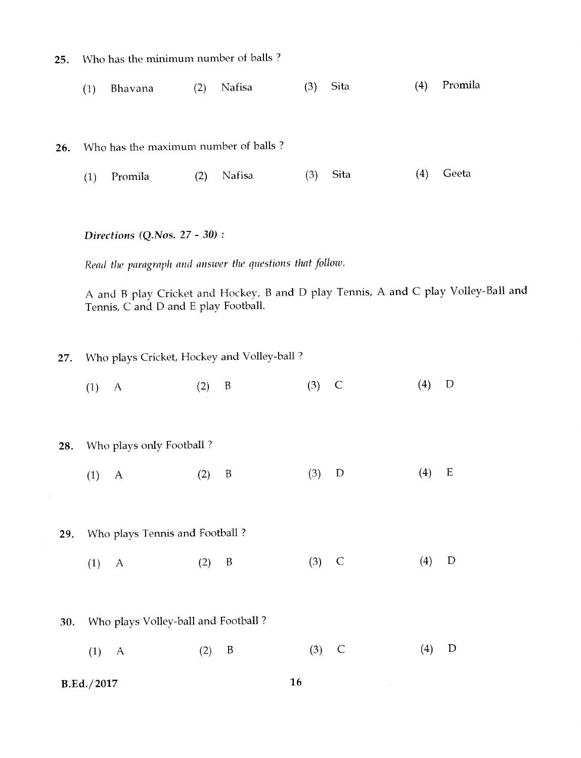- 25. Who has the minimum number of balls ?
	- (1) Bhavana (2) Nafisa (3) Sita (4) Promila

26. Who has the maximum number of balls ?

(1) Promila (2) Nafisa (3) Sita (4) Geeta

#### *Directions (Q.Nos.* 27 - 30) :

*Read the paragraph and answer the questions that follow.* 

A and B play Cricket and Hockey, B and D play Tennis, A and C play Volley-Ball and Tennis, C and D and E play Football.

27. Who plays Cricket, Hockey and Volley-ball ?

(1) A (2) B (3) C (4) D

#### Who plays only Football ? 28.

- (1) A (2) B (3) D (4) E
- Who plays Tennis and Football ? 29.
	- (1) A (2) B (3) C (4) D
- Who plays Volley-ball and Football ? 30.
	- (1) A (2) B (3) C (4) D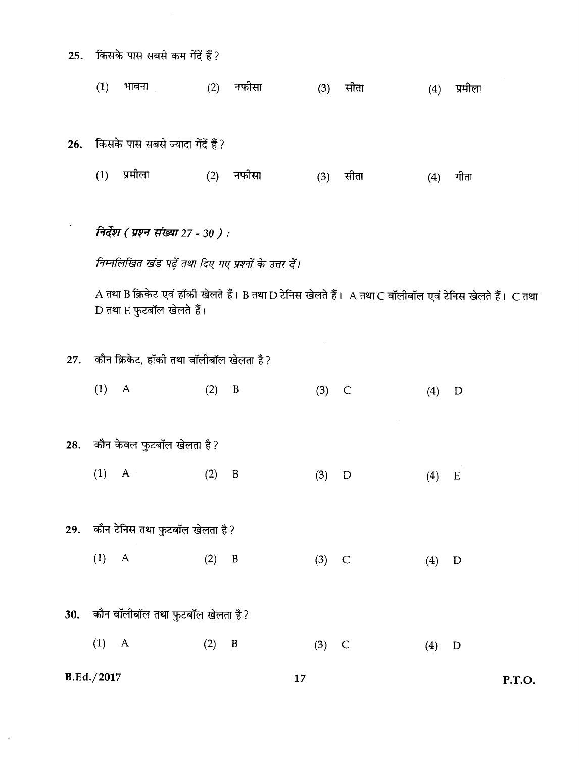- किसके पास सबसे कम गेंदें हैं?  $25.$ 
	- $(1)$ (2) नफीसा  $(3)$  सीता  $(4)$  प्रमीला भावना

26. किसके पास सबसे ज्यादा गेंदें हैं?

 $(1)$  प्रमीला (2) नफीसा  $(3)$ सीता गीता  $(4)$ 

निर्देश (प्रश्न संख्या 27 - 30 ) :

निम्नलिखित खंड पढ़ें तथा दिए गए प्रश्नों के उत्तर दें।

A तथा B क्रिकेट एवं हॉकी खेलते हैं। B तथा D टेनिस खेलते हैं। A तथा C वॉलीबॉल एवं टेनिस खेलते हैं। C तथा D तथा E फुटबॉल खेलते हैं।

P.T.O.

27. कौन क्रिकेट, हॉकी तथा वॉलीबॉल खेलता है?

|     | B.Ed./2017                           |          | 17       |                  |
|-----|--------------------------------------|----------|----------|------------------|
|     | (1)<br>$\mathbf{A}$                  | (2)<br>B | $(3)$ C  | (4)<br>D         |
|     | 30. कौन वॉलीबॉल तथा फुटबॉल खेलता है? |          |          |                  |
|     | $(1)$ A                              | (2)<br>B | $(3)$ C  | (4)<br>D         |
|     | 29. कौन टेनिस तथा फुटबॉल खेलता है?   |          |          |                  |
|     | $(1)$ A                              | (2)<br>B | (3)<br>D | (4)<br>${\bf E}$ |
| 28. | कौन केवल फुटबॉल खेलता है?            |          |          |                  |
|     | $(1)$ A                              | $(2)$ B  | $(3)$ C  | (4)<br>D         |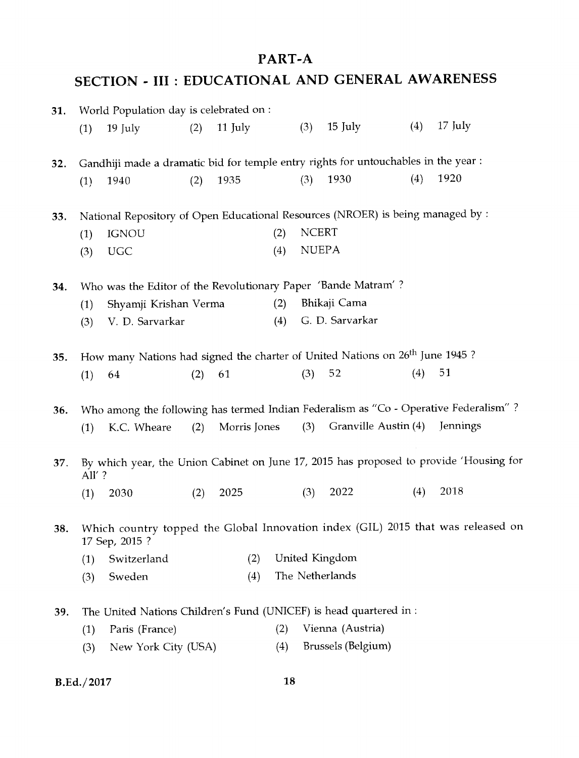## PART-A

# SECTION - III : EDUCATIONAL AND GENERAL AWARENESS

| 31. |                   | World Population day is celebrated on :                                                   |     |              |     |              |                      |     |                                                                                        |
|-----|-------------------|-------------------------------------------------------------------------------------------|-----|--------------|-----|--------------|----------------------|-----|----------------------------------------------------------------------------------------|
|     | (1)               | 19 July                                                                                   | (2) | 11 July      |     | (3)          | 15 July              | (4) | $17$ July                                                                              |
| 32. |                   | Gandhiji made a dramatic bid for temple entry rights for untouchables in the year :       |     |              |     |              |                      |     |                                                                                        |
|     | (1)               | 1940                                                                                      | (2) | 1935         |     | (3)          | 1930                 | (4) | 1920                                                                                   |
| 33. |                   | National Repository of Open Educational Resources (NROER) is being managed by :           |     |              |     |              |                      |     |                                                                                        |
|     | (1)               | <b>IGNOU</b>                                                                              |     |              | (2) | <b>NCERT</b> |                      |     |                                                                                        |
|     | (3)               | <b>UGC</b>                                                                                |     |              | (4) |              | <b>NUEPA</b>         |     |                                                                                        |
| 34. |                   | Who was the Editor of the Revolutionary Paper 'Bande Matram'?                             |     |              |     |              |                      |     |                                                                                        |
|     | (1)               | Shyamji Krishan Verma                                                                     |     |              | (2) |              | Bhikaji Cama         |     |                                                                                        |
|     | (3)               | V. D. Sarvarkar                                                                           |     |              | (4) |              | G. D. Sarvarkar      |     |                                                                                        |
| 35. |                   | How many Nations had signed the charter of United Nations on 26 <sup>th</sup> June 1945 ? |     |              |     |              |                      |     |                                                                                        |
|     | (1)               | 64                                                                                        | (2) | 61           |     | (3)          | 52                   | (4) | 51                                                                                     |
| 36. |                   |                                                                                           |     |              |     |              |                      |     | Who among the following has termed Indian Federalism as "Co - Operative Federalism"?   |
|     | (1)               | K.C. Wheare                                                                               | (2) | Morris Jones |     | (3)          | Granville Austin (4) |     | Jennings                                                                               |
| 37. | All'?             |                                                                                           |     |              |     |              |                      |     | By which year, the Union Cabinet on June 17, 2015 has proposed to provide 'Housing for |
|     | (1)               | 2030                                                                                      | (2) | 2025         |     | (3)          | 2022                 | (4) | 2018                                                                                   |
| 38. |                   | 17 Sep, 2015 ?                                                                            |     |              |     |              |                      |     | Which country topped the Global Innovation index (GIL) 2015 that was released on       |
|     | (1)               | Switzerland                                                                               |     | (2)          |     |              | United Kingdom       |     |                                                                                        |
|     | (3)               | Sweden                                                                                    |     | (4)          |     |              | The Netherlands      |     |                                                                                        |
| 39. |                   | The United Nations Children's Fund (UNICEF) is head quartered in :                        |     |              |     |              |                      |     |                                                                                        |
|     | (1)               | Paris (France)                                                                            |     |              | (2) |              | Vienna (Austria)     |     |                                                                                        |
|     | (3)               | New York City (USA)                                                                       |     |              | (4) |              | Brussels (Belgium)   |     |                                                                                        |
|     | <b>B.Ed./2017</b> |                                                                                           |     |              | 18  |              |                      |     |                                                                                        |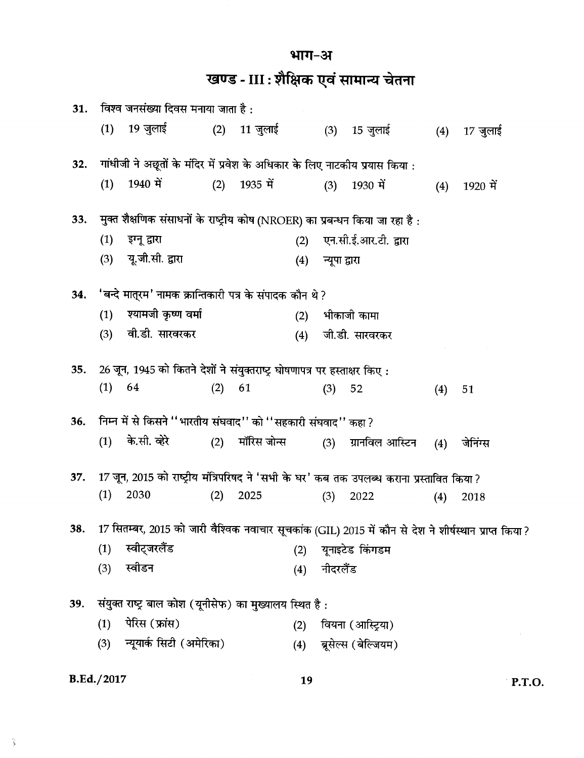भाग-अ

खण्ड - III : शैक्षिक एवं सामान्य चेतना

| 31. |     | विश्व जनसंख्या दिवस मनाया जाता है :                                                                    |     |              |     |               |                       |     |          |
|-----|-----|--------------------------------------------------------------------------------------------------------|-----|--------------|-----|---------------|-----------------------|-----|----------|
|     | (1) | 19 जुलाई                                                                                               |     | (2) 11 जुलाई |     |               | (3) 15 जुलाई          | (4) | 17 जुलाई |
| 32. |     | गांधीजी ने अछूतों के मंदिर में प्रवेश के अधिकार के लिए नाटकीय प्रयास किया :                            |     |              |     |               |                       |     |          |
|     | (1) | 1940 में                                                                                               | (2) | 1935 में     |     | (3)           | 1930 में              | (4) | 1920 में |
| 33. |     | मुक्त शैक्षणिक संसाधनों के राष्ट्रीय कोष (NROER) का प्रबन्धन किया जा रहा है :                          |     |              |     |               |                       |     |          |
|     | (1) | इग्नू द्वारा                                                                                           |     |              | (2) |               | एन.सी.ई.आर.टी. द्वारा |     |          |
|     | (3) | यू.जी.सी. द्वारा                                                                                       |     |              | (4) | न्यूपा द्वारा |                       |     |          |
| 34. |     | 'बन्दे मात्रम' नामक क्रान्तिकारी पत्र के संपादक कौन थे ?                                               |     |              |     |               |                       |     |          |
|     | (1) | श्यामजी कृष्ण वर्मा                                                                                    |     |              | (2) |               | भीकाजी कामा           |     |          |
|     | (3) | वी.डी. सारवरकर                                                                                         |     |              | (4) |               | जी.डी. सारवरकर        |     |          |
| 35. |     | 26 जून, 1945 को कितने देशों ने संयुक्तराष्ट्र घोषणापत्र पर हस्ताक्षर किए:                              |     |              |     |               |                       |     |          |
|     | (1) | 64                                                                                                     | (2) | 61           |     | (3)           | 52                    | (4) | 51       |
| 36. |     | निम्न में से किसने ''भारतीय संघवाद'' को ''सहकारी संघवाद'' कहा ?                                        |     |              |     |               |                       |     |          |
|     | (1) | के.सी. व्हेरे                                                                                          | (2) | मॉरिस जोन्स  |     | (3)           | ग्रानविल आस्टिन       | (4) | जेनिंग्स |
| 37. |     | 17 जून, 2015 को राष्ट्रीय मंत्रिपरिषद ने 'सभी के घर' कब तक उपलब्ध कराना प्रस्तावित किया ?              |     |              |     |               |                       |     |          |
|     | (1) | 2030                                                                                                   | (2) | 2025         |     | (3)           | 2022                  | (4) | 2018     |
| 38. |     | 17 सितम्बर, 2015 को जारी वैश्विक नवाचार सूचकांक (GIL) 2015 में कौन से देश ने शीर्षस्थान प्राप्त किया ? |     |              |     |               |                       |     |          |
|     | (1) | स्वीट्जरलैंड                                                                                           |     |              | (2) |               | यूनाइटेड किंगडम       |     |          |
|     | (3) | स्वीडन                                                                                                 |     |              | (4) | नीदरलैंड      |                       |     |          |
| 39. |     | संयुक्त राष्ट्र बाल कोश (यूनीसेफ) का मुख्यालय स्थित है:                                                |     |              |     |               |                       |     |          |
|     | (1) | पेरिस (फ्रांस)                                                                                         |     |              | (2) |               | वियना (आस्ट्रिया)     |     |          |
|     | (3) | न्यूयार्क सिटी (अमेरिका)                                                                               |     |              | (4) |               | ब्रूसेल्स (बेल्जियम)  |     |          |
|     |     |                                                                                                        |     |              |     |               |                       |     |          |

## **B.Ed./2017**

 $\frac{2}{3}$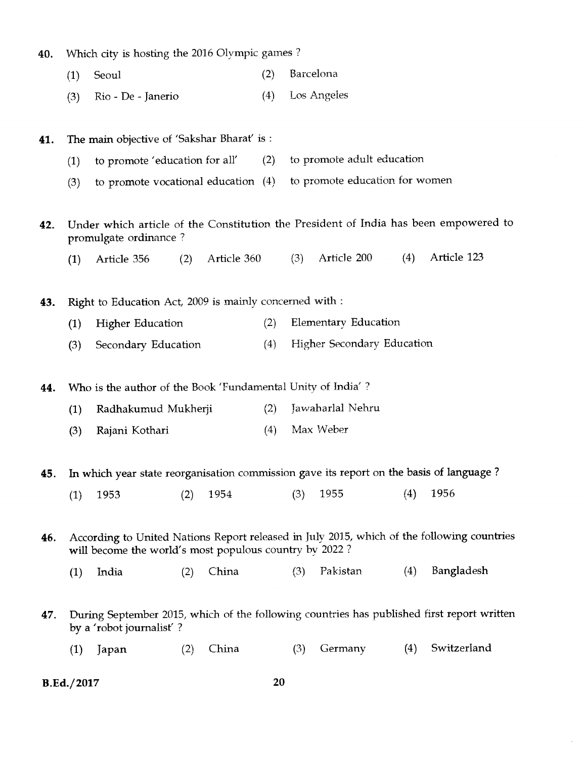| 40. |  |  |  |  |  |  | <sup>2</sup> Which city is hosting the 2016 Olympic games? |  |  |
|-----|--|--|--|--|--|--|------------------------------------------------------------|--|--|
|-----|--|--|--|--|--|--|------------------------------------------------------------|--|--|

| (1) Seoul |  | (2) Barcelona |
|-----------|--|---------------|
|-----------|--|---------------|

(3) Rio - De - Janerio (4) Los Angeles

# 41. The main objective of 'Sakshar Bharat' is : (1) to promote 'education for all' (2) to promote adult education (3) to promote vocational education (4) to promote education for women 42. Under which article of the Constitution the President of India has been empowered to promulgate ordinance ? (1) Article 356 (2) Article 360 (3) Article 200 (4) Article 123 43. Right to Education Act, 2009 is mainly concerned with : (1) Higher Education (2) Elementary Education (3) Secondary Education (4) Higher Secondary Education 44. Who is the author of the Book 'Fundamental Unity of India'? (1) Radhakumud Mukherji (2) Jawaharlal Nehru  $(3)$ ) Rajani Kothari (4) Max Weber 45. In which year state reorganisation commission gave its report on the basis of language ? (1) 1953 (2) 1954 (3) 1955 (4) 1956 46. According to United Nations Report released in July 2015, which of the following countries will become the world's most populous country by 2022? (1) India (2) China (3) Pakistan (4) Bangladesh 47. During September 2015, which of the following countries has published first report written by a 'robot journalist' ?

(1) Japan (2) China (3) Germany (4) Switzerland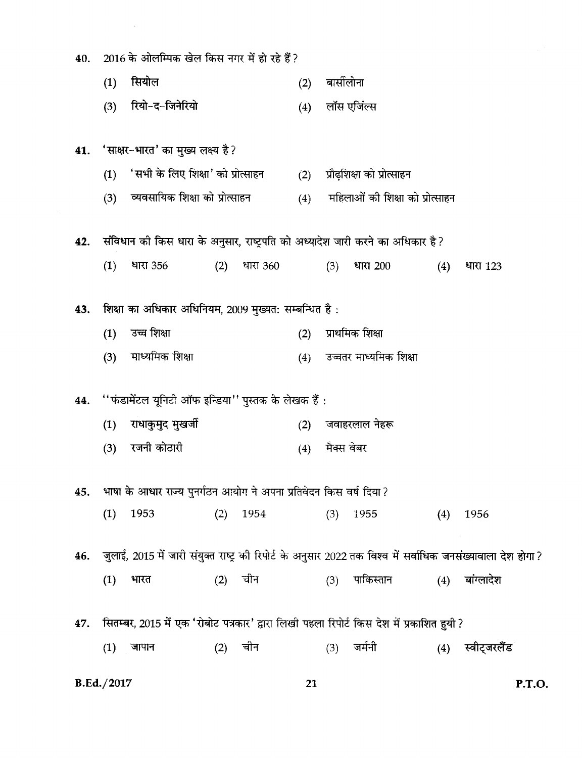| 40. |            | 2016 के ओलम्पिक खेल किस नगर में हो रहे हैं?                                                                   |     |          |     |            |                                 |     |                  |        |  |
|-----|------------|---------------------------------------------------------------------------------------------------------------|-----|----------|-----|------------|---------------------------------|-----|------------------|--------|--|
|     | (1)        | सियोल                                                                                                         |     |          | (2) | बार्सीलोना |                                 |     |                  |        |  |
|     | (3)        | रियो-द-जिनेरियो                                                                                               |     |          | (4) |            | लॉस एजिंल्स                     |     |                  |        |  |
|     |            | 41. 'साक्षर-भारत' का मुख्य लक्ष्य है?                                                                         |     |          |     |            |                                 |     |                  |        |  |
|     | (1)        | 'सभी के लिए शिक्षा' को प्रोत्साहन                                                                             |     |          | (2) |            | प्रौढ़शिक्षा को प्रोत्साहन      |     |                  |        |  |
|     |            | (3) व्यवसायिक शिक्षा को प्रोत्साहन                                                                            |     |          | (4) |            | महिलाओं की शिक्षा को प्रोत्साहन |     |                  |        |  |
| 42. |            | संविधान को किस धारा के अनुसार, राष्ट्रपति को अध्यादेश जारी करने का अधिकार है?                                 |     |          |     |            |                                 |     |                  |        |  |
|     | (1)        | धारा 356                                                                                                      | (2) | धारा 360 |     | (3)        | धारा 200                        | (4) | धारा 123         |        |  |
| 43. |            | शिक्षा का अधिकार अधिनियम, 2009 मुख्यत: सम्बन्धित है:                                                          |     |          |     |            |                                 |     |                  |        |  |
|     | (1)        | उच्च शिक्षा                                                                                                   |     |          | (2) |            | प्राथमिक शिक्षा                 |     |                  |        |  |
|     | (3)        | माध्यमिक शिक्षा                                                                                               |     |          | (4) |            | उच्चतर माध्यमिक शिक्षा          |     |                  |        |  |
| 44. |            | ''फंडामेंटल यूनिटी ऑफ इन्डिया'' पुस्तक के लेखक हैं :                                                          |     |          |     |            |                                 |     |                  |        |  |
|     | (1)        | राधाकुमुद मुखर्जी                                                                                             |     |          | (2) |            | जवाहरलाल नेहरू                  |     |                  |        |  |
|     | (3)        | रजनी कोठारी                                                                                                   |     |          | (4) |            | मैक्स वेबर                      |     |                  |        |  |
| 45. |            | भाषा के आधार राज्य पुनर्गठन आयोग ने अपना प्रतिवेदन किस वर्ष दिया ?                                            |     |          |     |            |                                 |     |                  |        |  |
|     | (1)        | 1953                                                                                                          | (2) | 1954     |     | (3)        | 1955                            | (4) | 1956             |        |  |
| 46. |            | ़जुलाई, 2015 में जारी संयुक्त राष्ट्र की रिपोर्ट के अनुसार 2022 तक विश्व में सर्वाधिक जनसंख्यावाला देश होगा ? |     |          |     |            |                                 |     |                  |        |  |
|     | (1)        | भारत                                                                                                          | (2) | चीन      |     | (3)        | पाकिस्तान                       | (4) | बांग्लादेश       |        |  |
| 47. |            | सितम्बर, 2015 में एक 'रोबोट पत्रकार' द्वारा लिखी पहला रिपोर्ट किस देश में प्रकाशित हुयी ?                     |     |          |     |            |                                 |     |                  |        |  |
|     | (1)        | जापान                                                                                                         | (2) | चीन      |     | (3)        | जर्मनी                          |     | (4) स्वीट्जरलैंड |        |  |
|     | B.Ed./2017 |                                                                                                               |     |          | 21  |            |                                 |     |                  | P.T.O. |  |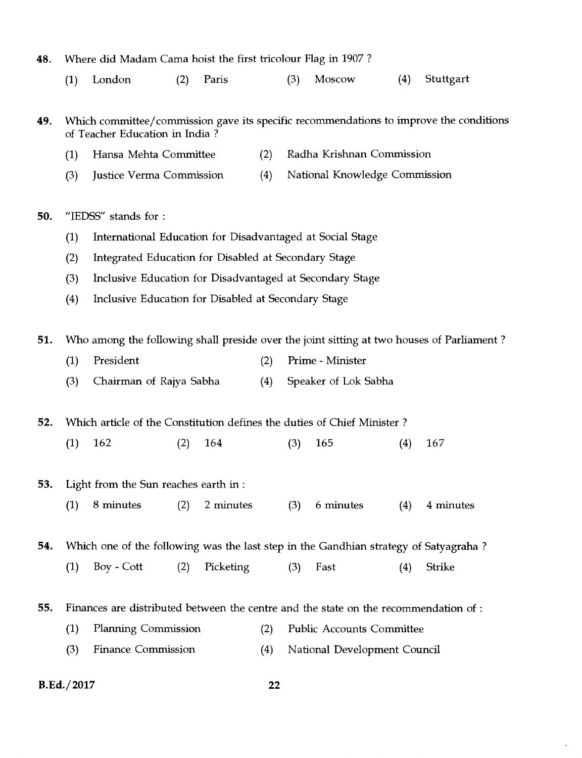- **48.** Where did Madam Cama hoist the first tricolour Flag in 1907 ?
	- (1) London (2) Paris (3) Moscow (4) Stuttgart

**49.** Which committee/commission gave its specific recommendations to improve the conditions of Teacher Education in India ?

- (1) Hansa Mehta Committee (2) Radha Krishnan Commission
- (3) Justice Verma Commission (4) National Knowledge Commission

**50.** "IEDSS" stands for :

- (1) International Education for Disadvantaged at Social Stage
- (2) Integrated Education for Disabled at Secondary Stage
- (3) Inclusive Education for Disadvantaged at Secondary Stage
- (4) Inclusive Education for Disabled at Secondary Stage

**51.** Who among the following shall preside over the joint sitting at two houses of Parliament ?

- (1) President (2) Prime Minister
- (3) Chairman of Rajya Sabha (4) Speaker of Lok Sabha

**52.** Which article of the Constitution defines the duties of Chief Minister ?

- (1) 162 (2) 164 (3) 165 (4) 167
- **53.** Light from the Sun reaches earth in :
	- (1) 8 minutes (2) 2 minutes (3) 6 minutes (4) 4 minutes

**54.** Which one of the following was the last step in the Gandhian strategy of Satyagraha ?

- (1) Boy Cott (2) Picketing (3) Fast (4) Strike
- **55.** Finances are distributed between the centre and the state on the recommendation of :
	- (1) Planning Commission (2) Public Accounts Committee
	- (3 ) Finance Commission (4) National Development Council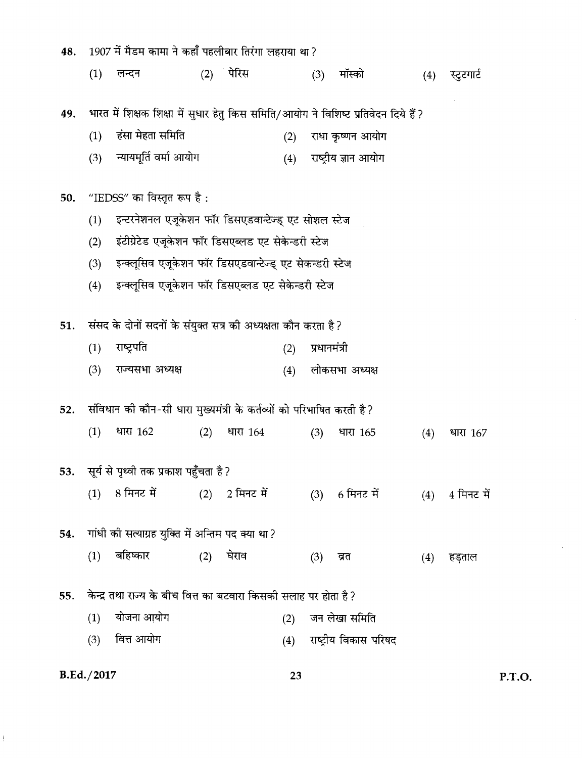| 48. |     | 1907 में मैडम कामा ने कहाँ पहलीबार तिरंगा लहराया था ?                                |     |                |     |              |                          |     |            |
|-----|-----|--------------------------------------------------------------------------------------|-----|----------------|-----|--------------|--------------------------|-----|------------|
|     | (1) | लन्दन                                                                                | (2) | पेरिस          |     | (3)          | मॉस्को                   | (4) | स्टूटगार्ट |
|     |     |                                                                                      |     |                |     |              |                          |     |            |
| 49. |     | भारत में शिक्षक शिक्षा में सुधार हेतु किस समिति/आयोग ने विशिष्ट प्रतिवेदन दिये हैं ? |     |                |     |              |                          |     |            |
|     | (1) | हंसा मेहता समिति                                                                     |     |                | (2) |              | राधा कृष्णन आयोग         |     |            |
|     | (3) | न्यायमूर्ति वर्मा आयोग                                                               |     |                |     |              | (4) राष्ट्रीय ज्ञान आयोग |     |            |
| 50. |     | "IEDSS" का विस्तृत रूप है :                                                          |     |                |     |              |                          |     |            |
|     | (1) | इन्टरनेशनल एजूकेशन फॉर डिसएडवान्टेज्ड् एट सोशल स्टेज                                 |     |                |     |              |                          |     |            |
|     | (2) | इंटीग्रेटेड एजूकेशन फॉर डिसएब्लड एट सेकेन्डरी स्टेज                                  |     |                |     |              |                          |     |            |
|     | (3) | इन्क्लूसिव एजूकेशन फॉर डिसएडवान्टेज्ड् एट सेकन्डरी स्टेज                             |     |                |     |              |                          |     |            |
|     | (4) | इन्क्लूसिव एजूकेशन फॉर डिसएब्लड एट सेकेन्डरी स्टेज                                   |     |                |     |              |                          |     |            |
|     |     |                                                                                      |     |                |     |              |                          |     |            |
| 51. |     | संसद के दोनों सदनों के संयुक्त सत्र की अध्यक्षता कौन करता है ?                       |     |                |     |              |                          |     |            |
|     | (1) | राष्ट्रपति                                                                           |     |                | (2) | प्रधानमंत्री |                          |     |            |
|     | (3) | राज्यसभा अध्यक्ष                                                                     |     |                | (4) |              | लोकसभा अध्यक्ष           |     |            |
| 52. |     | संविधान को कौन-सी धारा मुख्यमंत्री के कर्तव्यों को परिभाषित करती है?                 |     |                |     |              |                          |     |            |
|     | (1) | धारा 162                                                                             | (2) | धारा 164       |     | (3)          | धारा 165                 | (4) | धारा 167   |
|     |     |                                                                                      |     |                |     |              |                          |     |            |
|     |     | 53.    सूर्य से पृथ्वी तक प्रकाश पहुँचता है ?                                        |     |                |     |              |                          |     |            |
|     | (1) | 8 मिनट में                                                                           |     | (2) 2 मिनट में |     |              | (3) 6 मिनट में           | (4) | 4 मिनट में |
|     |     |                                                                                      |     |                |     |              |                          |     |            |
| 54. |     | गांधी की सत्याग्रह युक्ति में अन्तिम पद क्या था?                                     |     |                |     |              |                          |     |            |
|     | (1) | बहिष्कार                                                                             | (2) | घेराव          |     | (3)          | त्रत                     | (4) | हड़ताल     |
|     |     |                                                                                      |     |                |     |              |                          |     |            |
| 55. |     | केन्द्र तथा राज्य के बीच वित्त का बटवारा किसकी सलाह पर होता है ?                     |     |                |     |              |                          |     |            |
|     | (1) | योजना आयोग                                                                           |     |                | (2) |              | जन लेखा समिति            |     |            |
|     | (3) | वित्त आयोग                                                                           |     |                | (4) |              | राष्ट्रीय विकास परिषद    |     |            |
|     |     |                                                                                      |     |                |     |              |                          |     |            |

**B.Ed./2017** 

 $\hat{\mathbf{I}}$ 

23

P.T.O.

 $\hat{\mathcal{A}}$ 

 $\mathcal{L}$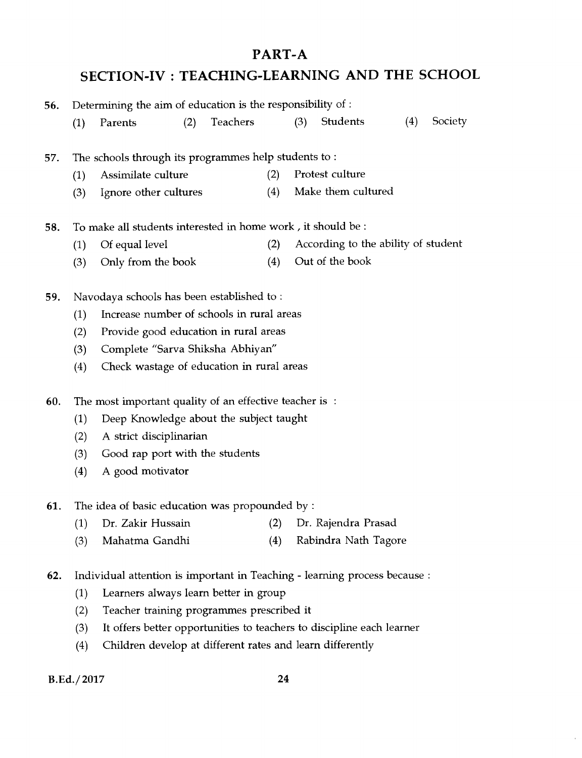# **PART-A SECTION-IV : TEACHING-LEARNING AND THE SCHOOL**

| 56. | Determining the aim of education is the responsibility of : |                                                                            |     |          |     |     |                                                                       |     |         |
|-----|-------------------------------------------------------------|----------------------------------------------------------------------------|-----|----------|-----|-----|-----------------------------------------------------------------------|-----|---------|
|     | (1)                                                         | Parents                                                                    | (2) | Teachers |     | (3) | Students                                                              | (4) | Society |
|     |                                                             |                                                                            |     |          |     |     |                                                                       |     |         |
| 57. |                                                             | The schools through its programmes help students to:                       |     |          |     |     |                                                                       |     |         |
|     | (1)                                                         | Assimilate culture                                                         |     |          | (2) |     | Protest culture                                                       |     |         |
|     | (3)                                                         | Ignore other cultures                                                      |     |          | (4) |     | Make them cultured                                                    |     |         |
| 58. |                                                             | To make all students interested in home work, it should be:                |     |          |     |     |                                                                       |     |         |
|     | (1)                                                         | Of equal level                                                             |     |          | (2) |     | According to the ability of student                                   |     |         |
|     | (3)                                                         | Only from the book                                                         |     |          | (4) |     | Out of the book                                                       |     |         |
|     |                                                             |                                                                            |     |          |     |     |                                                                       |     |         |
| 59. |                                                             | Navodaya schools has been established to:                                  |     |          |     |     |                                                                       |     |         |
|     | (1)                                                         | Increase number of schools in rural areas                                  |     |          |     |     |                                                                       |     |         |
|     | (2)                                                         | Provide good education in rural areas                                      |     |          |     |     |                                                                       |     |         |
|     | (3)                                                         | Complete "Sarva Shiksha Abhiyan"                                           |     |          |     |     |                                                                       |     |         |
|     | (4)                                                         | Check wastage of education in rural areas                                  |     |          |     |     |                                                                       |     |         |
| 60. |                                                             | The most important quality of an effective teacher is :                    |     |          |     |     |                                                                       |     |         |
|     | (1)                                                         | Deep Knowledge about the subject taught                                    |     |          |     |     |                                                                       |     |         |
|     | (2)                                                         | A strict disciplinarian                                                    |     |          |     |     |                                                                       |     |         |
|     | (3)                                                         | Good rap port with the students                                            |     |          |     |     |                                                                       |     |         |
|     | (4)                                                         | A good motivator                                                           |     |          |     |     |                                                                       |     |         |
| 61. |                                                             | The idea of basic education was propounded by:                             |     |          |     |     |                                                                       |     |         |
|     | (1)                                                         | Dr. Zakir Hussain                                                          |     |          | (2) |     | Dr. Rajendra Prasad                                                   |     |         |
|     | (3)                                                         | Mahatma Gandhi                                                             |     |          | (4) |     | Rabindra Nath Tagore                                                  |     |         |
|     |                                                             |                                                                            |     |          |     |     |                                                                       |     |         |
| 62. |                                                             | Individual attention is important in Teaching - learning process because : |     |          |     |     |                                                                       |     |         |
|     | (1)                                                         | Learners always learn better in group                                      |     |          |     |     |                                                                       |     |         |
|     | (2)                                                         | Teacher training programmes prescribed it                                  |     |          |     |     |                                                                       |     |         |
|     | (3)                                                         |                                                                            |     |          |     |     | It offers better opportunities to teachers to discipline each learner |     |         |
|     | (4)                                                         | Children develop at different rates and learn differently                  |     |          |     |     |                                                                       |     |         |

**B.Ed./ 2017 24** 

 $\bar{1}$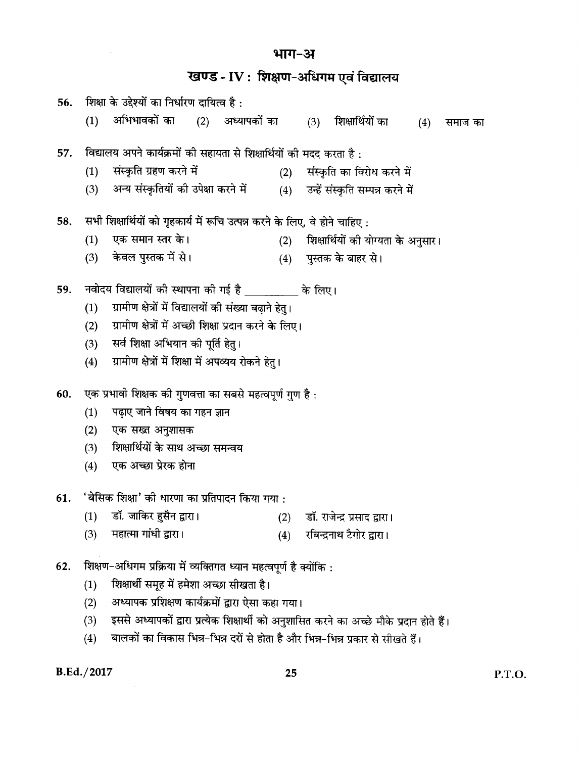## भाग-अ

खण्ड - IV : शिक्षण-अधिगम एवं विद्यालय

| 56. |     | शिक्षा के उद्देश्यों का निर्धारण दायित्व है :                               |                                                                   |  |     |     |                                                                                        |     |         |  |  |  |
|-----|-----|-----------------------------------------------------------------------------|-------------------------------------------------------------------|--|-----|-----|----------------------------------------------------------------------------------------|-----|---------|--|--|--|
|     | (1) | अभिभावकों का      (2)    अध्यापकों का                                       |                                                                   |  |     | (3) | शिक्षार्थियों का                                                                       | (4) | समाज का |  |  |  |
|     |     |                                                                             |                                                                   |  |     |     |                                                                                        |     |         |  |  |  |
| 57. |     | विद्यालय अपने कार्यक्रमों की सहायता से शिक्षार्थियों की मदद करता है:        |                                                                   |  |     |     |                                                                                        |     |         |  |  |  |
|     | (1) | संस्कृति ग्रहण करने में                                                     |                                                                   |  | (2) |     | संस्कृति का विरोध करने में                                                             |     |         |  |  |  |
|     | (3) | अन्य संस्कृतियों की उपेक्षा करने में                                        |                                                                   |  |     |     | (4) उन्हें संस्कृति सम्पन्न करने में                                                   |     |         |  |  |  |
| 58. |     | सभी शिक्षार्थियों को गृहकार्य में रूचि उत्पन्न करने के लिए, वे होने चाहिए : |                                                                   |  |     |     |                                                                                        |     |         |  |  |  |
|     | (1) | एक समान स्तर के।                                                            |                                                                   |  | (2) |     | शिक्षार्थियों की योग्यता के अनुसार।                                                    |     |         |  |  |  |
|     |     | (3) केवल पुस्तक में से।                                                     |                                                                   |  |     |     | (4) पुस्तक के बाहर से।                                                                 |     |         |  |  |  |
| 59. |     | नवोदय विद्यालयों की स्थापना की गई है __________ के लिए।                     |                                                                   |  |     |     |                                                                                        |     |         |  |  |  |
|     | (1) | ग्रामीण क्षेत्रों में विद्यालयों की संख्या बढ़ाने हेतु।                     |                                                                   |  |     |     |                                                                                        |     |         |  |  |  |
|     | (2) | ग्रामीण क्षेत्रों में अच्छी शिक्षा प्रदान करने के लिए।                      |                                                                   |  |     |     |                                                                                        |     |         |  |  |  |
|     | (3) | सर्व शिक्षा अभियान की पूर्ति हेतु।                                          |                                                                   |  |     |     |                                                                                        |     |         |  |  |  |
|     | (4) | ग्रामीण क्षेत्रों में शिक्षा में अपव्यय रोकने हेतु।                         |                                                                   |  |     |     |                                                                                        |     |         |  |  |  |
| 60. |     | एक प्रभावी शिक्षक की गुणवत्ता का सबसे महत्वपूर्ण गुण है :                   |                                                                   |  |     |     |                                                                                        |     |         |  |  |  |
|     | (1) | पढ़ाए जाने विषय का गहन ज्ञान                                                |                                                                   |  |     |     |                                                                                        |     |         |  |  |  |
|     | (2) | एक सख्त अनुशासक                                                             |                                                                   |  |     |     |                                                                                        |     |         |  |  |  |
|     | (3) | शिक्षार्थियों के साथ अच्छा समन्वय                                           |                                                                   |  |     |     |                                                                                        |     |         |  |  |  |
|     |     | (4) एक अच्छा प्रेरक होना                                                    |                                                                   |  |     |     |                                                                                        |     |         |  |  |  |
|     |     |                                                                             |                                                                   |  |     |     |                                                                                        |     |         |  |  |  |
| 61. |     | 'बेसिक शिक्षा' को धारणा का प्रतिपादन किया गया :                             |                                                                   |  |     |     |                                                                                        |     |         |  |  |  |
|     | (1) | डॉ. जाकिर हुसैन द्वारा।                                                     |                                                                   |  |     |     | (2) डॉ. राजेन्द्र प्रसाद द्वारा।                                                       |     |         |  |  |  |
|     | (3) | महात्मा गांधी द्वारा।                                                       |                                                                   |  | (4) |     | रबिन्द्रनाथ टैगोर द्वारा।                                                              |     |         |  |  |  |
| 62. |     |                                                                             | शिक्षण-अधिगम प्रक्रिया में व्यक्तिगत ध्यान महत्वपूर्ण है क्योंकि: |  |     |     |                                                                                        |     |         |  |  |  |
|     | (1) | शिक्षार्थी समूह में हमेशा अच्छा सीखता है।                                   |                                                                   |  |     |     |                                                                                        |     |         |  |  |  |
|     | (2) | अध्यापक प्रशिक्षण कार्यक्रमों द्वारा ऐसा कहा गया।                           |                                                                   |  |     |     |                                                                                        |     |         |  |  |  |
|     | (3) |                                                                             |                                                                   |  |     |     | इससे अध्यापकों द्रारा प्रत्येक शिक्षार्थी को अनशासित करने का अच्छे मौके पटान होते हैं। |     |         |  |  |  |

(3) इससे अध्यापकों द्वारा प्रत्येक शिक्षार्थी को अनुशासित करने का अच्छे मौके प्रदान होते हैं।<br>(4) बालकों का विकास भिन्न–भिन्न दरों से होता है और भिन्न–भिन्न प्रकार से सीखते हैं।

**B.Ed./2017**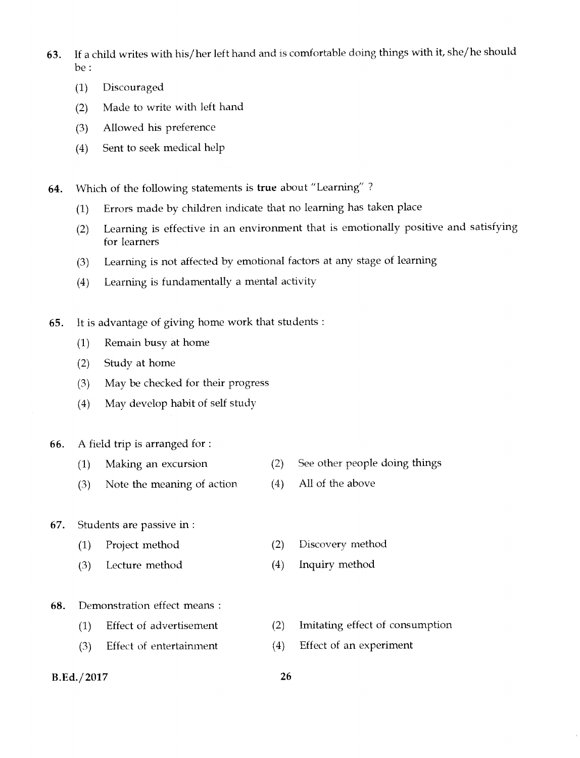- 63. If a child writes with his/her left hand and is comfortable doing things with it, she/he should be :
	- (1) Discouraged
	- (2) Made to write with left hand
	- (3) Allowed his preference
	- (4) Sent to seek medical help
- 64. Which of the following statements is true about "Learning" ?
	- (1) Errors made by children indicate that no learning has taken place
	- (2) Learning is effective in an environment that is emotionally positive and satisfying for learners
	- (3) Learning is not affected by emotional factors at any stage of learning
	- (4) Learning is fundamentally a mental activity
- 65. It is advantage of giving home work that students :
	- (1) Remain busy at home
	- (2) Study at home
	- (3) May be checked for their progress
	- (4) May develop habit of self study

#### 66. A field trip is arranged for :

- (1) Making an excursion (2) See other people doing things
- (3) Note the meaning of action (4) All of the above

#### 67. Students are passive in :

- (1) Project method (2) Discovery method
- $(3)$ Lecture method (4) Inquiry method
- 68. Demonstration effect means :
	- (1) Effect of advertisement (2) Imitating effect of consumption
	- (3) Effect of entertainment (4) Effect of an experiment
- B.Ed./2017 26
	-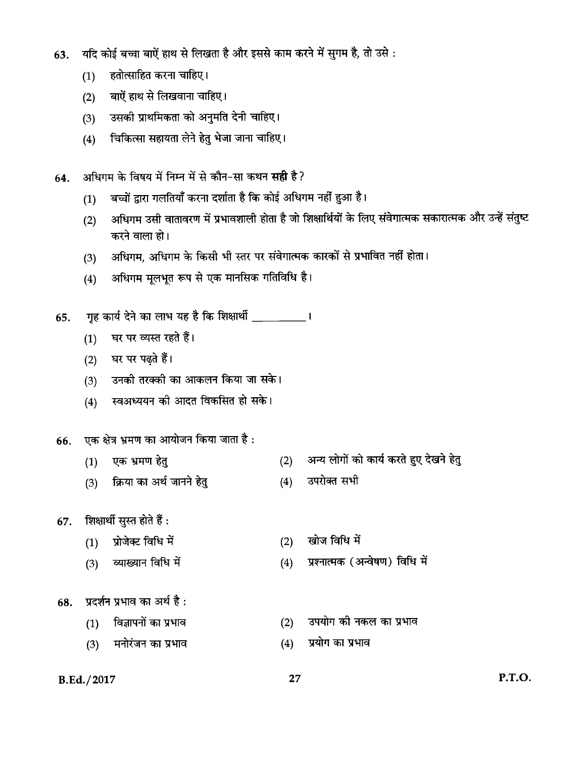- यदि कोई बच्चा बाऐं हाथ से लिखता है और इससे काम करने में सुगम है, तो उसे : 63.
	- हतोत्साहित करना चाहिए।  $(1)$
	- बाऐं हाथ से लिखवाना चाहिए।  $(2)$
	- उसकी प्राथमिकता को अनुमति देनी चाहिए।  $(3)$
	- चिकित्सा सहायता लेने हेतु भेजा जाना चाहिए।  $(4)$
- अधिगम के विषय में निम्न में से कौन-सा कथन सही है? 64.
	- बच्चों द्वारा गलतियाँ करना दर्शाता है कि कोई अधिगम नहीं हुआ है।  $(1)$
	- अधिगम उसी वातावरण में प्रभावशाली होता है जो शिक्षार्थियों के लिए संवेगात्मक सकारात्मक और उन्हें संतुष्ट  $(2)$ करने वाला हो।
	- अधिगम, अधिगम के किसी भी स्तर पर संवेगात्मक कारकों से प्रभावित नहीं होता।  $(3)$
	- अधिगम मूलभूत रूप से एक मानसिक गतिविधि है।  $(4)$
- गृह कार्य देने का लाभ यह है कि शिक्षार्थी \_\_\_\_\_\_\_\_\_\_\_\_। 65.
	- घर पर व्यस्त रहते हैं।  $(1)$
	- घर पर पढ़ते हैं।  $(2)$
	- उनकी तरक्की का आकलन किया जा सके।  $(3)$
	- स्वअध्ययन की आदत विकसित हो सके।  $(4)$

#### एक क्षेत्र भ्रमण का आयोजन किया जाता है : 66.

- (2) अन्य लोगों को कार्य करते हुए देखने हेतु एक भ्रमण हेतु  $(1)$
- $(4)$  उपरोक्त सभी क्रिया का अर्थ जानने हेतु  $(3)$
- शिक्षार्थी सुस्त होते हैं : 67.
	- प्रोजेक्ट विधि में खोज विधि में  $(2)$  $(1)$
	- प्रश्नात्मक (अन्वेषण) विधि में व्याख्यान विधि में  $(4)$  $(3)$
- प्रदर्शन प्रभाव का अर्थ है: 68.
	- विज्ञापनों का प्रभाव उपयोग की नकल का प्रभाव  $(1)$  $(2)$ 
		- मनोरंजन का प्रभाव
- 27

 $(4)$ 

प्रयोग का प्रभाव

B.Ed./2017

 $(3)$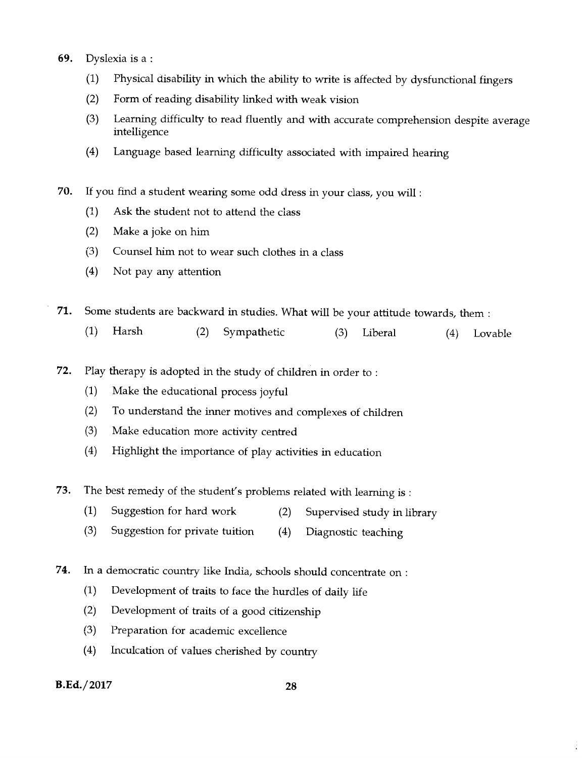- 69. Dyslexia is a :
	- (1) Physical disability in which the ability to write is affected by dysfunctional fingers
	- (2) Form of reading disability linked with weak vision
	- (3) Learning difficulty to read fluently and with accurate comprehension despite average intelligence
	- (4) Language based learning difficulty associated with impaired hearing
- 70. If you find a student wearing some odd dress in your class, you will :
	- (1) Ask the student not to attend the class
	- (2) Make a joke on him
	- (3) Counsel him not to wear such clothes in a class
	- (4) Not pay any attention

71. Some students are backward in studies. What will be your attitude towards, them :

- (1) Harsh (2) Sympathetic (3) Liberal (4) Lovable
- 72. Play therapy is adopted in the study of children in order to :
	- (1) Make the educational process joyful
	- (2) To understand the inner motives and complexes of children
	- (3) Make education more activity centred
	- (4) Highlight the importance of play activities in education
- **73.** The best remedy of the student's problems related with learning is :
	- (1) Suggestion for hard work (2) Supervised study in library
	- (3) Suggestion for private tuition (4) Diagnostic teaching
- **74. In** a democratic country like India, schools should concentrate on :
	- (1) Development of traits to face the hurdles of daily life
	- (2) Development of traits of a good citizenship
	- (3) Preparation for academic excellence
	- (4) Inculcation of values cherished by country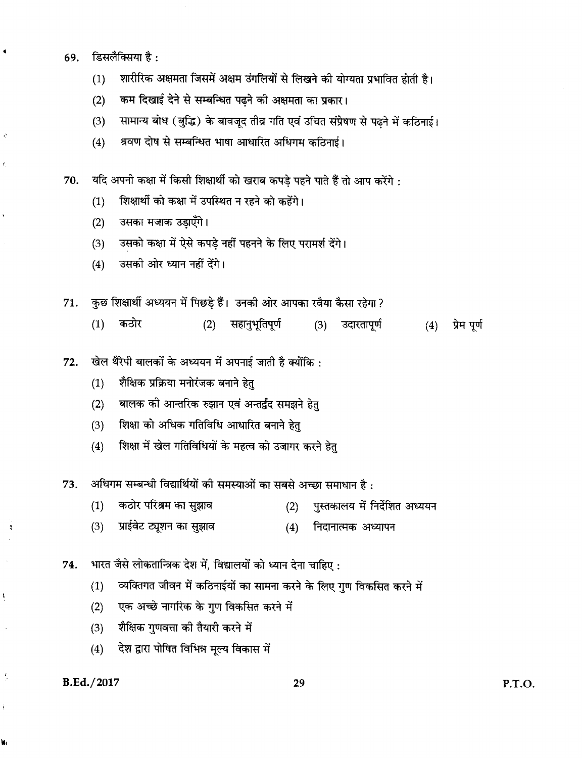- डिसलैक्सिया है: 69.
	- शारीरिक अक्षमता जिसमें अक्षम उंगलियों से लिखने की योग्यता प्रभावित होती है।  $(1)$
	- कम दिखाई देने से सम्बन्धित पढ़ने की अक्षमता का प्रकार।  $(2)$
	- सामान्य बोध (बुद्धि) के बावजूद तीव्र गति एवं उचित संप्रेषण से पढने में कठिनाई।  $(3)$
	- श्रवण दोष से सम्बन्धित भाषा आधारित अधिगम कठिनाई।  $(4)$

यदि अपनी कक्षा में किसी शिक्षार्थी को खराब कपडे पहने पाते हैं तो आप करेंगे : 70.

- शिक्षार्थी को कक्षा में उपस्थित न रहने को कहेंगे।  $(1)$
- उसका मजाक उड़ाएँगे।  $(2)$
- उसको कक्षा में ऐसे कपड़े नहीं पहनने के लिए परामर्श देंगे।  $(3)$
- उसकी ओर ध्यान नहीं देंगे।  $(4)$

कुछ शिक्षार्थी अध्ययन में पिछड़े हैं। उनकी ओर आपका रवैया कैसा रहेगा? 71.

- कठोर (2) सहानुभूतिपूर्ण (4) प्रेम पूर्ण  $(1)$ उदारतापूर्ण  $(3)$
- खेल थैरेपी बालकों के अध्ययन में अपनाई जाती है क्योंकि: 72.
	- शैक्षिक प्रक्रिया मनोरंजक बनाने हेतु  $(1)$
	- बालक की आन्तरिक रुझान एवं अन्तर्द्वंद समझने हेत्  $(2)$
	- शिक्षा को अधिक गतिविधि आधारित बनाने हेतु  $(3)$
	- शिक्षा में खेल गतिविधियों के महत्व को उजागर करने हेतु  $(4)$
- अधिगम सम्बन्धी विद्यार्थियों की समस्याओं का सबसे अच्छा समाधान है: 73.
	- पुस्तकालय में निर्देशित अध्ययन कठोर परिश्रम का सुझाव  $(1)$  $(2)$
	- प्राईवेट ट्यूशन का सुझाव  $(3)$ निदानात्मक अध्यापन  $(4)$
- भारत जैसे लोकतान्त्रिक देश में, विद्यालयों को ध्यान देना चाहिए: 74.
	- व्यक्तिगत जीवन में कठिनाईयों का सामना करने के लिए गुण विकसित करने में  $(1)$
	- एक अच्छे नागरिक के गुण विकसित करने में  $(2)$
	- शैक्षिक गुणवत्ता की तैयारी करने में  $(3)$
	- देश द्वारा पोषित विभिन्न मूल्य विकास में  $(4)$

#### B.Ed./2017

 $\frac{\pi}{2}$ 

A,

۱.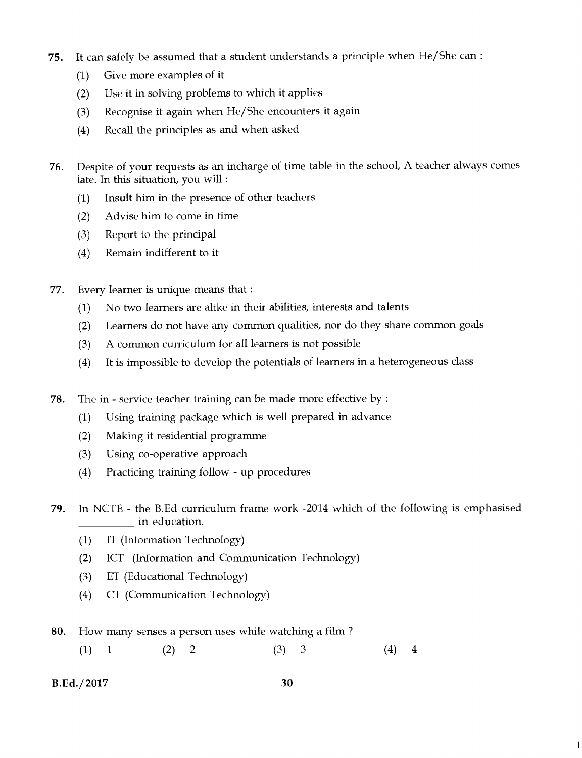- **75.** It can safely be assumed that a student understands a principle when He/She can :
	- (1) Give more examples of it
	- (2) Use it in solving problems to which it applies
	- (3) Recognise it again when He/She encounters it again
	- (4) Recall the principles as and when asked
- **76.** Despite of your requests as an incharge of time table in the school, A teacher always comes late. In this situation, you will :
	- (1) Insult him in the presence of other teachers
	- (2) Advise him to come in time
	- (3) Report to the principal
	- (4) Remain indifferent to it
- 77. Every learner is unique means that :
	- (1) No two learners are alike in their abilities, interests and talents
	- (2) Learners do not have any common qualities, nor do they share common goals
	- (3) A common curriculum for all learners is not possible
	- (4) It is impossible to develop the potentials of learners in a heterogeneous class
- **78.** The in service teacher training can be made more effective by :
	- (1) Using training package which is well prepared in advance
	- (2) Making it residential programme
	- (3) Using co-operative approach
	- (4) Practicing training follow up procedures
- **79.** In NCTE the B.Ed curriculum frame work -2014 which of the following is emphasised in education.
	- (1) IT (Information Technology)
	- (2) ICT (Information and Communication Technology)
	- (3) ET (Educational Technology)
	- (4) CT (Communication Technology)
- **80.** How many senses a person uses while watching a film ?
	- $(1)$  $\mathbf{1}$ (2) 2 (3) 3 (4) 4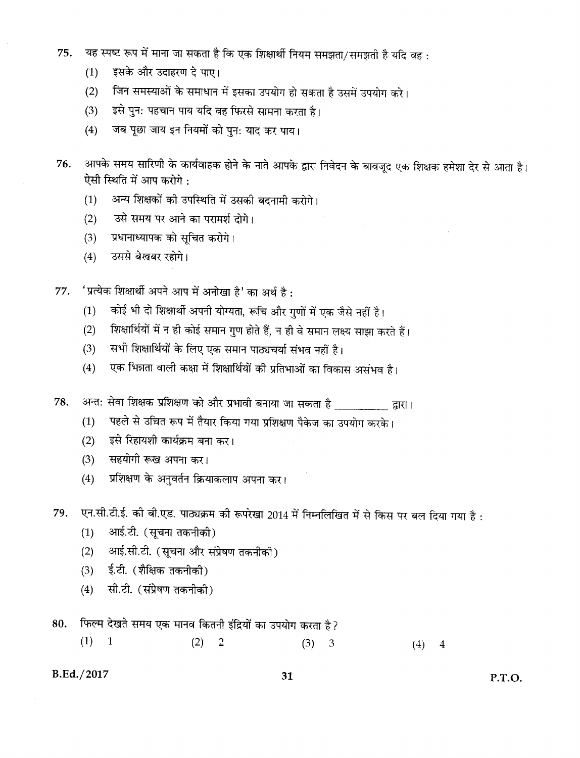- यह स्पष्ट रूप में माना जा सकता है कि एक शिक्षार्थी नियम समझता/समझती है यदि वह: 75.
	- इसके और उदाहरण दे पाए।  $(1)$
	- जिन समस्याओं के समाधान में इसका उपयोग हो सकता है उसमें उपयोग करे।  $(2)$
	- इसे पुन: पहचान पाय यदि वह फिरसे सामना करता है।  $(3)$
	- जब पूछा जाय इन नियमों को पुन: याद कर पाय।  $(4)$
- आपके समय सारिणी के कार्यवाहक होने के नाते आपके द्वारा निवेदन के बावजूद एक शिक्षक हमेशा देर से आता है। 76. ऐसी स्थिति में आप करोगे:
	- अन्य शिक्षकों की उपस्थिति में उसकी बदनामी करोगे।  $(1)$
	- उसे समय पर आने का परामर्श दोगे।  $(2)$
	- प्रधानाध्यापक को सूचित करोगे।  $(3)$
	- उससे बेखबर रहोगे।  $(4)$
- 'प्रत्येक शिक्षार्थी अपने आप में अनोखा है' का अर्थ है: 77.
	- कोई भी दो शिक्षार्थी अपनी योग्यता, रूचि और गुणों में एक जैसे नहीं है।  $(1)$
	- शिक्षार्थियों में न ही कोई समान गुण होते हैं, न ही वे समान लक्ष्य साझा करते हैं।  $(2)$
	- सभी शिक्षार्थियों के लिए एक समान पाठ्यचर्या संभव नहीं है।  $(3)$
	- एक भिन्नता वाली कक्षा में शिक्षार्थियों की प्रतिभाओं का विकास असंभव है।  $(4)$
- अन्त: सेवा शिक्षक प्रशिक्षण को और प्रभावी बनाया जा सकता है \_\_\_\_\_\_\_\_\_\_\_ द्वारा। 78.
	- पहले से उच्चित रूप में तैयार किया गया प्रशिक्षण पैकेज का उपयोग करके।  $(1)$
	- $(2)$ इसे रिहायशी कार्यक्रम बना कर।
	- सहयोगी रूख अपना कर।  $(3)$
	- प्रशिक्षण के अनुवर्तन क्रियाकलाप अपना कर।  $(4)$

एन.सी.टी.ई. की बी.एड. पाठ्यक्रम की रूपरेखा 2014 में निम्नलिखित में से किस पर बल दिया गया है : 79.

- $(1)$ आई.टी. (सूचना तकनीकी)
- आई.सी.टी. (सूचना और संप्रेषण तकनीकी)  $(2)$
- $(3)$ ई.टी. (शैक्षिक तकनीकी)
- सी.टी. (संप्रेषण तकनीकी)  $(4)$
- फिल्म देखते समय एक मानव कितनी इंद्रियों का उपयोग करता है ? 80.
	- $(1) 1$  $(2) 2$  $(3)$  $\mathfrak{Z}$  $(4) 4$

#### B.Ed./2017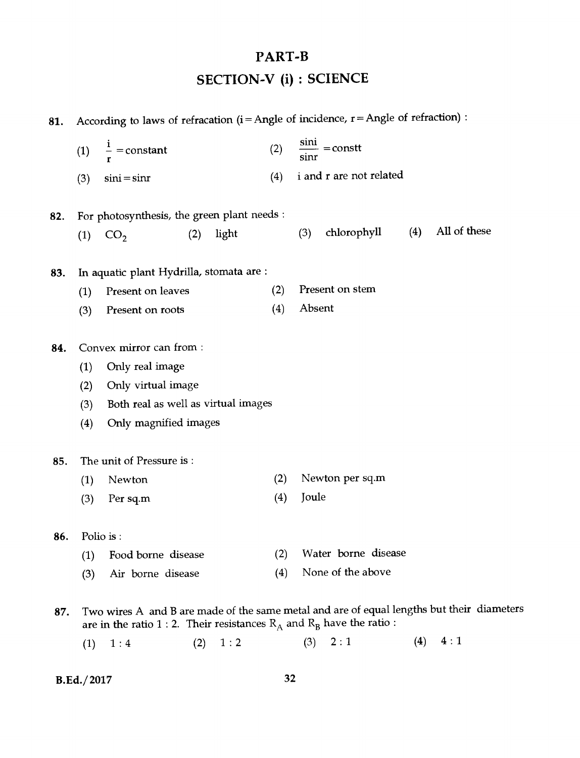## **PART-B**

**SECTION-V (i) : SCIENCE** 

| 81. | According to laws of refracation ( $i =$ Angle of incidence, $r =$ Angle of refraction) : |                                                                                                                                                                         |     |       |     |        |                             |     |              |  |  |
|-----|-------------------------------------------------------------------------------------------|-------------------------------------------------------------------------------------------------------------------------------------------------------------------------|-----|-------|-----|--------|-----------------------------|-----|--------------|--|--|
|     | (1)                                                                                       | $\frac{1}{2}$ = constant                                                                                                                                                |     |       | (2) |        | $\frac{\sin i}{i}$ = constt |     |              |  |  |
|     | (3)                                                                                       | $sini = sinr$                                                                                                                                                           |     |       | (4) |        | i and r are not related     |     |              |  |  |
| 82. |                                                                                           | For photosynthesis, the green plant needs :                                                                                                                             |     |       |     |        |                             |     |              |  |  |
|     | (1)                                                                                       | CO <sub>2</sub>                                                                                                                                                         | (2) | light |     | (3)    | chlorophyll                 | (4) | All of these |  |  |
| 83. |                                                                                           | In aquatic plant Hydrilla, stomata are :                                                                                                                                |     |       |     |        |                             |     |              |  |  |
|     | (1)                                                                                       | Present on leaves                                                                                                                                                       |     |       | (2) |        | Present on stem             |     |              |  |  |
|     | (3)                                                                                       | Present on roots                                                                                                                                                        |     |       | (4) | Absent |                             |     |              |  |  |
| 84. |                                                                                           | Convex mirror can from :                                                                                                                                                |     |       |     |        |                             |     |              |  |  |
|     | (1)                                                                                       | Only real image                                                                                                                                                         |     |       |     |        |                             |     |              |  |  |
|     | (2)                                                                                       | Only virtual image                                                                                                                                                      |     |       |     |        |                             |     |              |  |  |
|     | (3)                                                                                       | Both real as well as virtual images                                                                                                                                     |     |       |     |        |                             |     |              |  |  |
|     | (4)                                                                                       | Only magnified images                                                                                                                                                   |     |       |     |        |                             |     |              |  |  |
| 85. |                                                                                           | The unit of Pressure is:                                                                                                                                                |     |       |     |        |                             |     |              |  |  |
|     | (1)                                                                                       | Newton                                                                                                                                                                  |     |       | (2) |        | Newton per sq.m             |     |              |  |  |
|     | (3)                                                                                       | Per sq.m                                                                                                                                                                |     |       | (4) | Joule  |                             |     |              |  |  |
| 86. |                                                                                           | Polio is:                                                                                                                                                               |     |       |     |        |                             |     |              |  |  |
|     | (1)                                                                                       | Food borne disease                                                                                                                                                      |     |       | (2) |        | Water borne disease         |     |              |  |  |
|     | (3)                                                                                       | Air borne disease                                                                                                                                                       |     |       | (4) |        | None of the above           |     |              |  |  |
| 87. |                                                                                           | Two wires A and B are made of the same metal and are of equal lengths but their diameters<br>are in the ratio 1 : 2. Their resistances $R_A$ and $R_B$ have the ratio : |     |       |     |        |                             |     |              |  |  |
|     | (1)                                                                                       | 1:4                                                                                                                                                                     | (2) | 1:2   |     | (3)    | 2:1                         | (4) | 4:1          |  |  |
|     |                                                                                           |                                                                                                                                                                         |     |       |     |        |                             |     |              |  |  |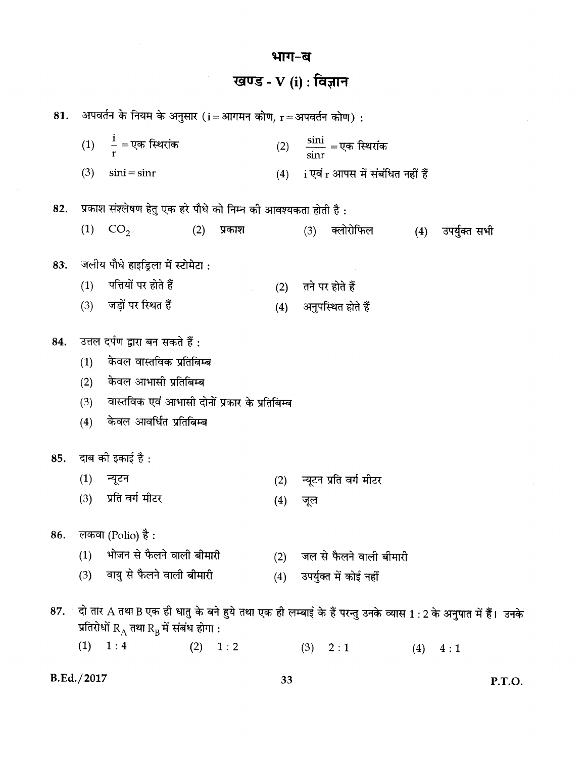#### खण्ड - V (i) : विज्ञान अपवर्तन के नियम के अनुसार (i = आगमन कोण, r = अपवर्तन कोण) : 81. (1)  $\frac{i}{r} = \overline{v}$ क स्थिरांक (2)  $\frac{\sin i}{\sin r}$  = एक स्थिरांक  $(4)$  i एवं r आपस में संबंधित नहीं हैं  $(3)$   $\sin i = \sin r$ प्रकाश संश्लेषण हेतु एक हरे पौधे को निम्न की आवश्यकता होती है : 82.  $(1)$ (3) क्लोरोफिल (4) उपर्युक्त सभी  $CO<sub>2</sub>$  $(2)$ प्रकाश जलीय पौधे हाइड्रिला में स्टोमेटा : 83. पत्तियों पर होते हैं  $(1)$ (2) तने पर होते हैं जड़ों पर स्थित हैं (4) अनुपस्थित होते हैं  $(3)$ उत्तल दर्पण द्वारा बन सकते हैं : 84. केवल वास्तविक प्रतिबिम्ब  $(1)$ केवल आभासी प्रतिबिम्ब  $(2)$ वास्तविक एवं आभासी दोनों प्रकार के प्रतिबिम्ब  $(3)$ केवल आवर्धित प्रतिबिम्ब  $(4)$ दाब की इकाई है : 85.  $(1)$ न्यूटन न्यूटन प्रति वर्ग मीटर  $(2)$ प्रति वर्ग मीटर  $(3)$  $(4)$ जूल लकवा (Polio) है : 86. भोजन से फैलने वाली बीमारी (2) जल से फैलने वाली बीमारी  $(1)$ (3) वायु से फैलने वाली बीमारी (4) उपर्युक्त में कोई नहीं दो तार A तथा B एक ही धातु के बने हुये तथा एक ही लम्बाई के हैं परन्तु उनके व्यास 1 : 2 के अनुपात में हैं। उनके 87. प्रतिरोधों  $\rm R_A$  तथा  $\rm R_B$ में संबंध होगा :  $(1) \quad 1:4$  $(2) 1:2$  $(3) 2:1$  $(4)$  $4:1$

भाग-ब

B.Ed./2017

33

P.T.O.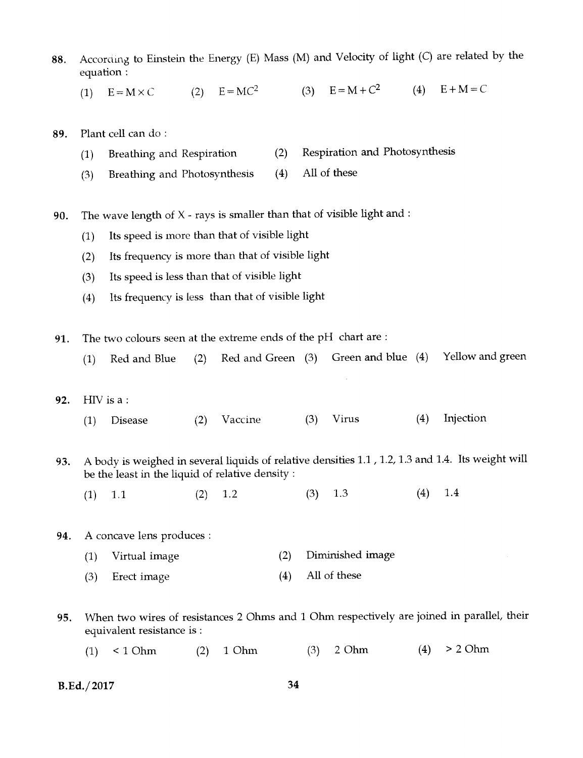- 88. According to Einstein the Energy (E) Mass (M) and Velocity of light *(C)* are related by the equation :
	- (1)  $E = M \times C$  (2)  $E = MC^2$  (3)  $E = M + C^2$  (4)  $E + M = C$
- 89. Plant cell can do :
	- (1) Breathing and Respiration (2) Respiration and Photosynthesis
	- (3) Breathing and Photosynthesis (4) All of these

90. The wave length of  $X$  - rays is smaller than that of visible light and :

- (1) Its speed is more than that of visible light
- (2) Its frequency is more than that of visible light
- (3) Its speed is less than that of visible light
- (4) Its frequency is less than that of visible light

91. The two colours seen at the extreme ends of the pH chart are :

- (1) Red and Blue (2) Red and Green (3) Green and blue (4) Yellow and green
- 92. HIV is a :
	- (1) Disease (2) Vaccine (3) Virus (4) Injection
- 93. A body is weighed in several liquids of relative densities 1.1 , 1.2, 1.3 and 1.4. Its weight will be the least in the liquid of relative density :
	- (1)  $1.1$  (2)  $1.2$  (3)  $1.3$  (4)  $1.4$

94. A concave lens produces :

- (1) Virtual image (2) Diminished image
- $(3)$ Erect image (4) All of these
- 95. When two wires of resistances 2 Ohms and 1 Ohm respectively are joined in parallel, their equivalent resistance is :
	- (1) < 1 Ohm (2) 1 Ohm (3) 2 Ohm (4) > 2 Ohm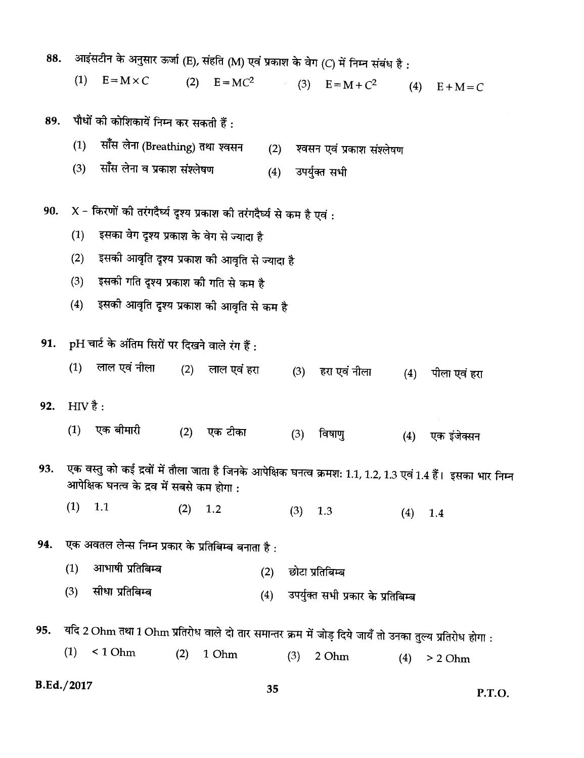| 88. |         | आइंसटीन के अनुसार ऊर्जा (E), संहति (M) एवं प्रकाश के वेग (C) में निम्न संबंध है :                      |     |                 |     |     |                                    |     |                                                                                                              |
|-----|---------|--------------------------------------------------------------------------------------------------------|-----|-----------------|-----|-----|------------------------------------|-----|--------------------------------------------------------------------------------------------------------------|
|     | (1)     | $E = M \times C$                                                                                       | (2) |                 |     |     | $E = MC^2$ (3) $E = M + C^2$       | (4) | $E+M=C$                                                                                                      |
| 89. |         | पौधों की कोशिकायें निम्न कर सकती हैं :                                                                 |     |                 |     |     |                                    |     |                                                                                                              |
|     | (1)     | साँस लेना (Breathing) तथा श्वसन                                                                        |     |                 | (2) |     | श्वसन एवं प्रकाश संश्लेषण          |     |                                                                                                              |
|     | (3)     | साँस लेना व प्रकाश संश्लेषण                                                                            |     |                 | (4) |     | उपर्युक्त सभी                      |     |                                                                                                              |
| 90. |         | $X$ - किरणों की तरंगदैर्घ्य दृश्य प्रकाश की तरंगदैर्घ्य से कम है एवं :                                 |     |                 |     |     |                                    |     |                                                                                                              |
|     | (1)     | इसका वेग दृश्य प्रकाश के वेग से ज्यादा है                                                              |     |                 |     |     |                                    |     |                                                                                                              |
|     | (2)     | इसकी आवृति दृश्य प्रकाश की आवृति से ज्यादा है                                                          |     |                 |     |     |                                    |     |                                                                                                              |
|     | (3)     | इसकी गति दृश्य प्रकाश की गति से कम है                                                                  |     |                 |     |     |                                    |     |                                                                                                              |
|     | (4)     | इसकी आवृति दृश्य प्रकाश की आवृति से कम है                                                              |     |                 |     |     |                                    |     |                                                                                                              |
|     |         | 91. pH चार्ट के अंतिम सिरों पर दिखने वाले रंग हैं:                                                     |     |                 |     |     |                                    |     |                                                                                                              |
|     | (1)     | लाल एवं नीला                                                                                           |     | (2) लाल एवं हरा |     | (3) | हरा एवं नीला                       | (4) | पीला एवं हरा                                                                                                 |
| 92. | HIV है: |                                                                                                        |     |                 |     |     |                                    |     |                                                                                                              |
|     | (1)     | एक बीमारी                                                                                              | (2) | एक टीका         |     | (3) | विषाणु                             | (4) | एक इंजेक्सन                                                                                                  |
| 93. |         | आपेक्षिक घनत्व के द्रव में सबसे कम होगा :                                                              |     |                 |     |     |                                    |     | एक वस्तु को कई द्रवों में तौला जाता है जिनके आपेक्षिक घनत्व क्रमश: 1.1, 1.2, 1.3 एवं 1.4 हैं। इसका भार निम्न |
|     | (1)     | 1.1                                                                                                    | (2) | 1.2             |     | (3) | 1.3                                | (4) | 1.4                                                                                                          |
| 94. |         | एक अवतल लेन्स निम्न प्रकार के प्रतिबिम्ब बनाता है :                                                    |     |                 |     |     |                                    |     |                                                                                                              |
|     | (1)     | आभाषी प्रतिबिम्ब                                                                                       |     |                 | (2) |     | छोटा प्रतिबिम्ब                    |     |                                                                                                              |
|     | (3)     | सीधा प्रतिबिम्ब                                                                                        |     |                 | (4) |     | उपर्युक्त सभी प्रकार के प्रतिबिम्ब |     |                                                                                                              |
| 95. |         | यदि 2 Ohm तथा 1 Ohm प्रतिरोध वाले दो तार समान्तर क्रम में जोड़ दिये जायँ तो उनका तुल्य प्रतिरोध होगा : |     |                 |     |     |                                    |     |                                                                                                              |
|     | (1)     | < 1 Ohm                                                                                                | (2) | 1 Ohm           |     | (3) | 2 Ohm                              | (4) | > 2 Ohm                                                                                                      |

35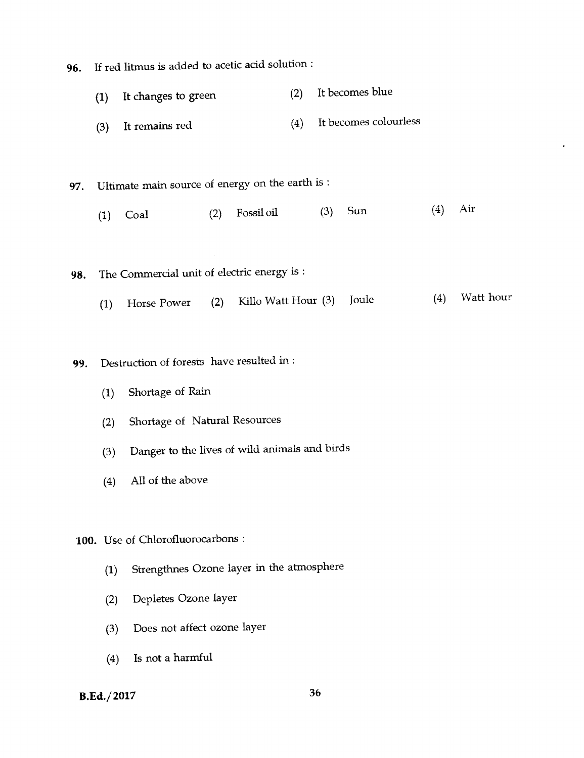**96.** If red litmus is added to acetic acid solution : (1) **It** changes to green (2) It becomes blue (3) It remains red (4) It becomes colourless **97.** Ultimate main source of energy on the earth is : (1) Coal (2) Fossil oil (3) Sun (4) Air **98.** The Commercial unit of electric energy is : (1) Horse Power (2) Kilo Watt Hour (3) Joule (4) Watt hour 99. Destruction of forests have resulted in : (1) Shortage of Rain (2) Shortage of Natural Resources (3) Danger to the lives of wild animals and birds (4) All of the above **100.** Use of Chlorofluorocarbons : (1) Strengthnes Ozone layer in the atmosphere (2) Depletes Ozone layer

- (3) Does not affect ozone layer
- (4) Is not a harmful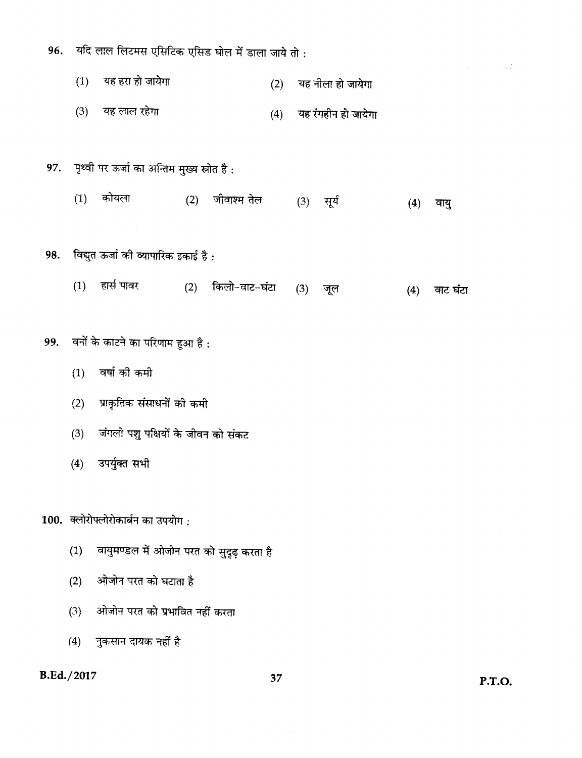|     |            | 96. यदि लाल लिटमस एसिटिक एसिड घोल में डाला जाये तो : |                   |     |     |                         |     |          |    |
|-----|------------|------------------------------------------------------|-------------------|-----|-----|-------------------------|-----|----------|----|
|     | (1)        | यह हरा हो जायेगा                                     |                   | (2) |     | यह नीला हो जायेगा       |     |          |    |
|     | (3)        | यह लाल रहेगा                                         |                   |     |     | (4) यह रंगहीन हो जायेगा |     |          |    |
|     |            | 97. पृथ्वी पर ऊर्जा का अन्तिम मुख्य स्रोत है:        |                   |     |     |                         |     |          |    |
|     | (1)        | कोयला                                                | (2) जीवाश्म तेल   |     |     | (3) सूर्य               | (4) | वायु     |    |
| 98. |            | विद्युत ऊर्जा की व्यापारिक इकाई है :                 |                   |     |     |                         |     |          |    |
|     |            | (1) हार्स पावर                                       | (2) किलो-वाट-घंटा |     | (3) | जूल                     | (4) | वाट घंटा |    |
| 99. |            | वनों के काटने का परिणाम हुआ है :                     |                   |     |     |                         |     |          |    |
|     | (1)        | वर्षा को कमी                                         |                   |     |     |                         |     |          |    |
|     | (2)        | प्राकृतिक संसाधनों को कमी                            |                   |     |     |                         |     |          |    |
|     | (3)        | जंगली पशु पक्षियों के जीवन को संकट                   |                   |     |     |                         |     |          |    |
|     | (4)        | उपर्युक्त सभी                                        |                   |     |     |                         |     |          |    |
|     |            | 100. क्लोरोफ्लोरोकार्बन का उपयोग:                    |                   |     |     |                         |     |          |    |
|     | (1)        | वायुमण्डल में ओजोन परत को सुदृढ़ करता है             |                   |     |     |                         |     |          |    |
|     | (2)        | ओजोन परत को घटाता है                                 |                   |     |     |                         |     |          |    |
|     | (3)        | ओजोन परत को प्रभावित नहीं करता                       |                   |     |     |                         |     |          |    |
|     |            | (4) नुकसान दायक नहीं है                              |                   |     |     |                         |     |          |    |
|     | B.Ed./2017 |                                                      |                   | 37  |     |                         |     |          | PТ |

ia.<br>Prim

**P.T.O.** 

 $\sim$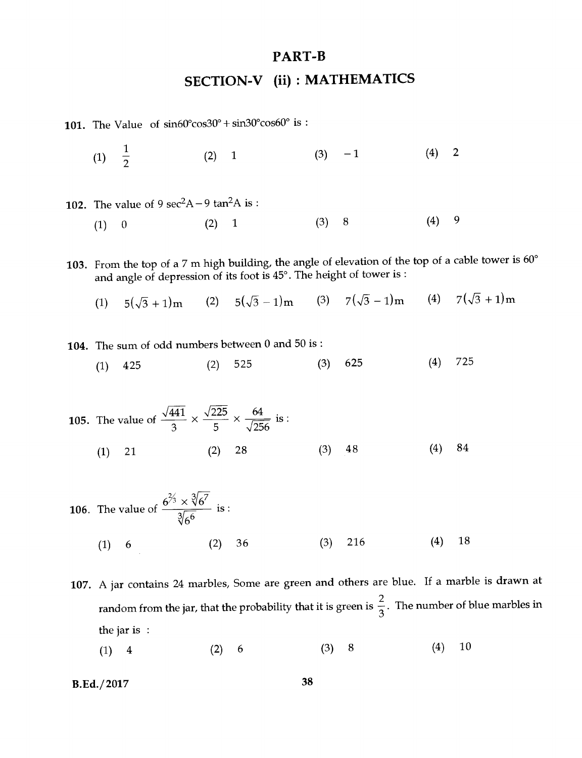## **PART-B**

## **SECTION-V (ii) : MATHEMATICS**

**101.** The Value of  $sin60^\circ cos30^\circ + sin30^\circ cos60^\circ$  is :

(1)  $\frac{1}{2}$ (2)  $1$  (3)  $-1$  (4) 2 102. The value of 9  $sec<sup>2</sup>A - 9 tan<sup>2</sup>A$  is :  $(1)$  0  $(2)$  1  $(3)$  8  $(4)$  9

103. From the top of a 7 m high building, the angle of elevation of the top of a cable tower is 60° and angle of depression of its foot is 45°. The height of tower is :

- (1)  $5(\sqrt{3} + 1)$ m (2)  $5(\sqrt{3} 1)$ m (3)  $7(\sqrt{3} 1)$ m (4)  $7(\sqrt{3} + 1)$ m
- 104. The sum of odd numbers between 0 and 50 is :
	- (1) 425 (2) 525 (3) 625 (4) 725
- **105.** The value of  $\frac{\sqrt{441}}{3} \times \frac{\sqrt{225}}{5} \times \frac{64}{\sqrt{256}}$  is :  $(1)$  21  $(2)$  28 (3) 48 (4) 84

106. The value of 
$$
\frac{6^{2/3} \times \sqrt[3]{6^{7}}}{\sqrt[3]{6^{6}}}
$$
 is:  
\n(1) 6 (2) 36 (3) 216 (4) 18

- **107.** A jar contains 24 marbles, Some are green and others are blue. If a marble is drawn at random from the jar, that the probability that it is green is  $\frac{2}{3}$ . The number of blue marbles in the jar is :
	- (1) 4 (2) 6 (3) 8 (4) 10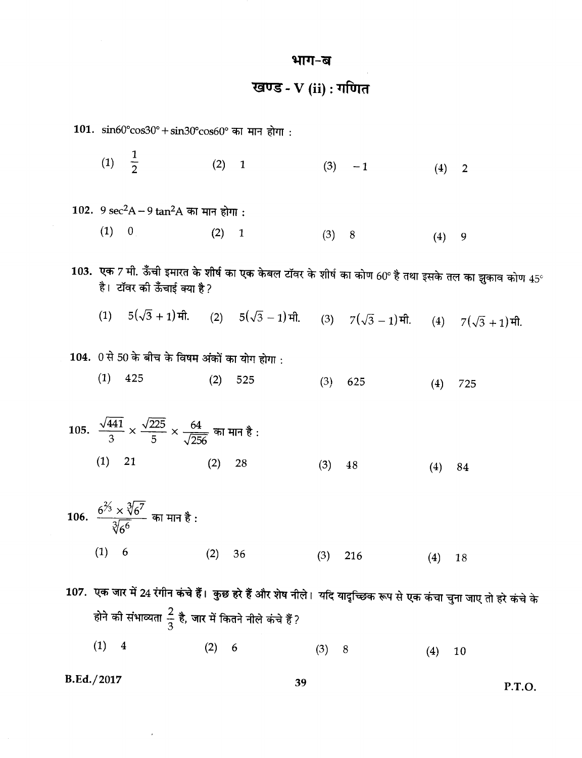#### भाग-ब

खण्ड - V (ii) : गणित

101.  $\sin 60^{\circ} \cos 30^{\circ} + \sin 30^{\circ} \cos 60^{\circ}$  का मान होगा :

(1)  $\frac{1}{2}$  $(2) 1$  $(3) -1$  $(4)$  $\overline{2}$ 

102.  $9 \sec^2 A - 9 \tan^2 A$  का मान होगा:

 $(1) 0$  $(2) 1$  $(3) 8$  $(4)$ 9

 $103.$  एक 7 मी. ऊँची इमारत के शीर्ष का एक केबल टॉवर के शीर्ष का कोण 60° है तथा इसके तल का झुकाव कोण  $45^\circ$ है। टॉवर की ऊँचाई क्या है?

- (2)  $5(\sqrt{3}-1)\pi$  $(1)$   $5(\sqrt{3} + 1)\pi$ . (3)  $7(\sqrt{3}-1)$ मी. (4)  $7(\sqrt{3}+1)$ मी.
- 104. 0 से 50 के बीच के विषम अंकों का योग होगा:
	- $(1)$  425  $(2)$ 525  $(3)$ 625  $(4)$ 725
- 105.  $\frac{\sqrt{441}}{3} \times \frac{\sqrt{225}}{5} \times \frac{64}{\sqrt{256}}$  का मान है:  $(1)$  21  $(2)$  28  $(3)$ 48  $(4)$ 84
- 106.  $\frac{6^{2/3} \times \sqrt[3]{6^{7}}}{\sqrt[3]{6}}$  का मान है :  $(1) 6$  $(2)$ - 36  $(3)$ 216  $(4)$  18

107. एक जार में 24 रंगीन कंचे हैं। कुछ हरे हैं और शेष नीले। यदि यादृच्छिक रूप से एक कंचा चुना जाए तो हरे कंचे के होने की संभाव्यता  $\frac{2}{3}$  है, जार में कितने नीले कंचे हैं?  $(1)$  $\overline{\mathbf{4}}$  $(2)$  $6\overline{6}$  $(3) 8$  $(4)$ 10

B.Ed./2017

 $\bar{\star}$ 

P.T.O.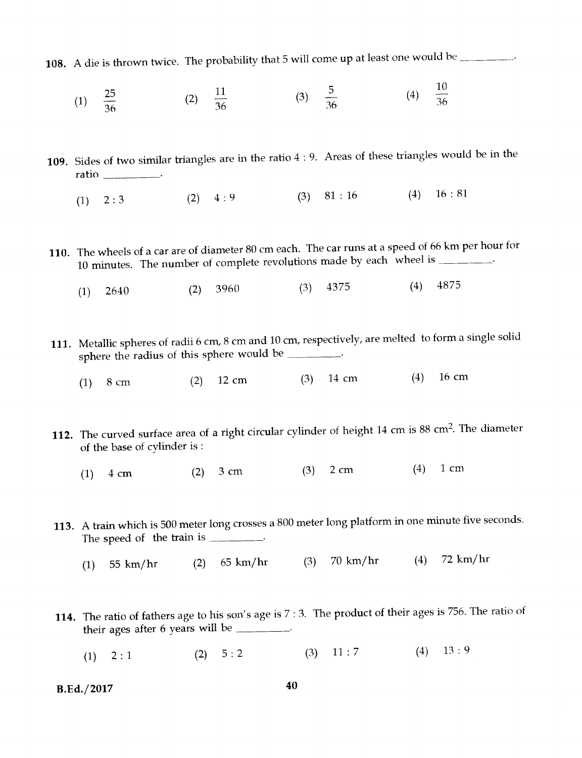**108.** A die is thrown twice. The probability that 5 will come up at least one would be

- (1)  $\frac{25}{36}$  (2)  $\frac{11}{36}$  $\sim$  5 36  $\frac{10}{36}$  $(4)$
- 109. Sides of two similar triangles are in the ratio 4 : 9. Areas of these triangles would be in the ratio
	- (1)  $2:3$  (2)  $4:9$  (3)  $81:16$  (4)  $16:81$
- 110. The wheels of a car are of diameter 80 cm each. The car runs at a speed of 66 km per hour for 10 minutes. The number of complete revolutions made by each wheel is \_\_\_\_\_\_\_\_\_.
	- (1) 2640 (2) 3960 (3) 4375 (4) 4875
- 111. Metallic spheres of radii 6 cm, 8 cm and 10 cm, respectively, are melted to form a single solid sphere the radius of this sphere would be
	- (1) 8 cm (2) 12 cm (3) 14 cm (4) 16 cm
- 112. The curved surface area of a right circular cylinder of height 14 cm is 88 cm<sup>2</sup>. The diameter of the base of cylinder is :
	- (1) 4 cm (2) 3 cm (3) 2 cm (4) 1 cm
- 113. A train which is 500 meter long crosses a 800 meter long platform in one minute five seconds. The speed of the train is \_\_\_\_\_\_\_\_\_.
	- (1) 55 km/hr (2) 65 km/hr (3) 70 km/hr (4) 72 km/hr
- 114. The ratio of fathers age to his son's age is 7 : 3. The product of their ages is 756. The ratio of their ages after 6 years will be
	- (1)  $2:1$  (2)  $5:2$  (3)  $11:7$  (4)  $13:9$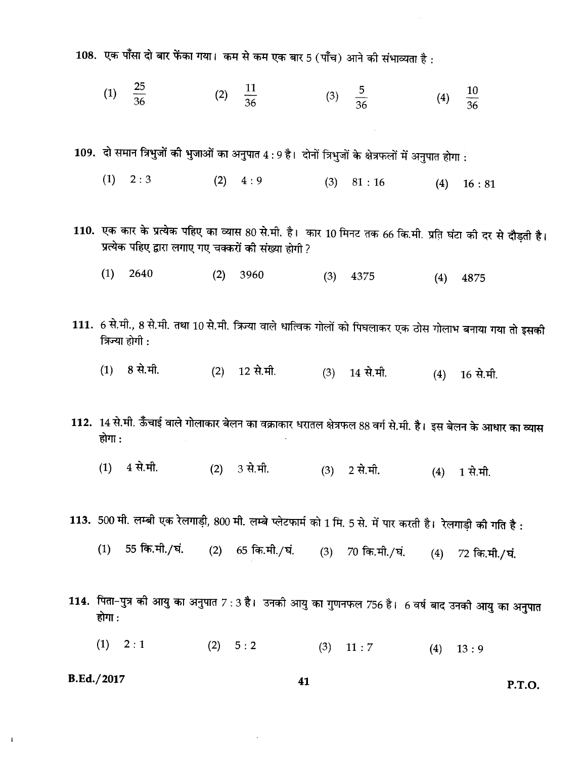108. एक पाँसा दो बार फेंका गया। कम से कम एक बार 5 (पाँच) आने की संभाव्यता है:

 $\frac{25}{36}$  $\frac{11}{36}$  $\frac{5}{36}$  $\frac{10}{36}$  $(1)$  $(2)$  $(3)$  $(4)$ 

109. दो समान त्रिभुजों की भुजाओं का अनुपात  $4:9$  है। दोनों त्रिभुजों के क्षेत्रफलों में अनुपात होगा :

- $(1)$  $2:3$  $(2) \quad 4:9$  $(3)$  81 : 16  $(4)$  16:81
- 110. एक कार के प्रत्येक पहिए का व्यास 80 से.मी. है। कार 10 मिनट तक 66 कि.मी. प्रति घंटा की दर से दौड़ती है। प्रत्येक पहिए द्वारा लगाए गए चक्करों की संख्या होगी ?
	- $(1)$ 2640 3960  $(2)$  $(3)$  4375  $(4)$ 4875
- 111. 6 से.मी., 8 से.मी. तथा 10 से.मी. त्रिज्या वाले धात्विक गोलों को पिघलाकर एक ठोस गोलाभ बनाया गया तो इसकी त्रिज्या होगी :
	- 8 से.मी.  $(1)$  $(2)$  12 से.मी.  $(3)$  14 से.मी.  $(4)$  16 से.मी.
- 112. 14 से.मी. ऊँँचाई वाले गोलाकार बेलन का वक्राकार धरातल क्षेत्रफल 88 वर्ग से.मी. है। इस बेलन के आधार का व्यास होगा :
	- $(1)$  4 से.मी.  $(2)$  3 से.मी.  $(3)$  2 से.मी.  $(4)$  1 से.मी.
- 113. 500 मी. लम्बी एक रेलगाड़ी, 800 मी. लम्बे प्लेटफार्म को 1 मि. 5 से. में पार करती है। रेलगाड़ी की गति है:
	- 55 कि.मी./घं.  $(1)$ (2)  $65 \overline{65.} \overline{41.} / \overline{41.}$  $(3)$  70 कि.मी./घं. (4) 72 कि.मी./घं.
- 114. पिता-पुत्र की आयु का अनुपात 7 : 3 है। उनकी आयु का गुणनफल 756 है। 6 वर्ष बाद उनकी आयु का अनुपात होगा :
	- $(1) 2:1$  $(2) 5:2$  $(3)$  $11:7$  $(4)$  $13:9$

B.Ed./2017

 $\mathbf{I}$ 

P.T.O.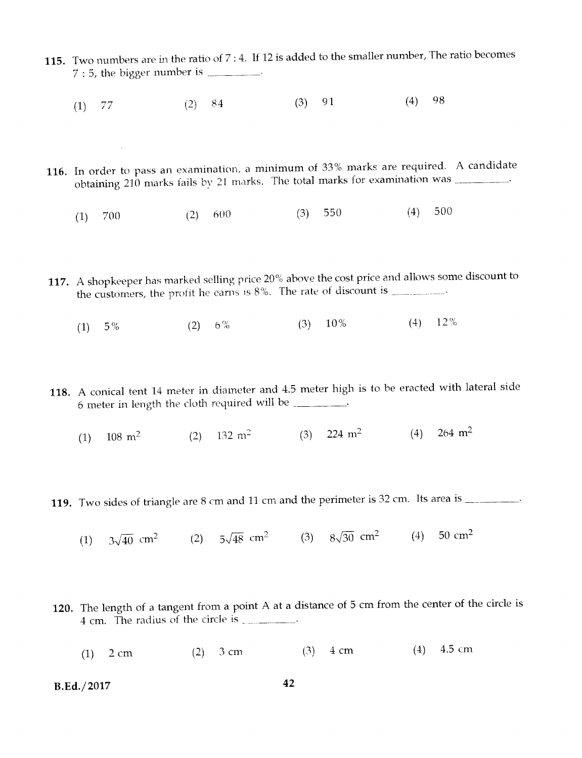- 115. Two numbers are in the ratio of 7 : 4. If 12 is added to the smaller number, The ratio becomes  $7:5$ , the bigger number is  $\frac{1}{2}$ .
	- (1) 77 (2) 84 (3) 91 (4) 98

 $\mathcal{A}^{\mathcal{A}}$ 

- 116. In order to pass an examination, a minimum of 33% marks are required. A candidate obtaining 210 marks fails by 21 marks. The total marks for examination was
	- (1) 700 (2) 600 (3) 550 (4) 500
- 117. A shopkeeper has marked selling price 20% above the cost price and allows some discount to the customers, the profit he earns is  $8\%$ . The rate of discount is \_\_\_\_\_\_\_\_.
	- (1)  $5\%$  (2)  $6\%$  (3)  $10\%$  (4)  $12\%$
- 118. A conical tent 14 meter in diameter and 4.5 meter high is to be eracted with lateral side 6 meter in length the cloth required will be
	- (1)  $108 \text{ m}^2$  (2)  $132 \text{ m}^2$  (3)  $224 \text{ m}^2$  (4)  $264 \text{ m}^2$
- 119. Two sides of triangle are 8 cm and 11 cm and the perimeter is 32 cm. Its area is \_\_\_\_\_\_\_\_.
	- (1)  $3\sqrt{40}$  cm<sup>2</sup> (2)  $5\sqrt{48}$  cm<sup>2</sup> (3)  $8\sqrt{30}$  cm<sup>2</sup> (4) 50 cm<sup>2</sup>
- 120. The length of a tangent from a point A at a distance of 5 cm from the center of the circle is 4 cm. The radius of the circle is
	- (1) 2 cm (2) 3 cm (3) 4 cm (4) 4.5 cm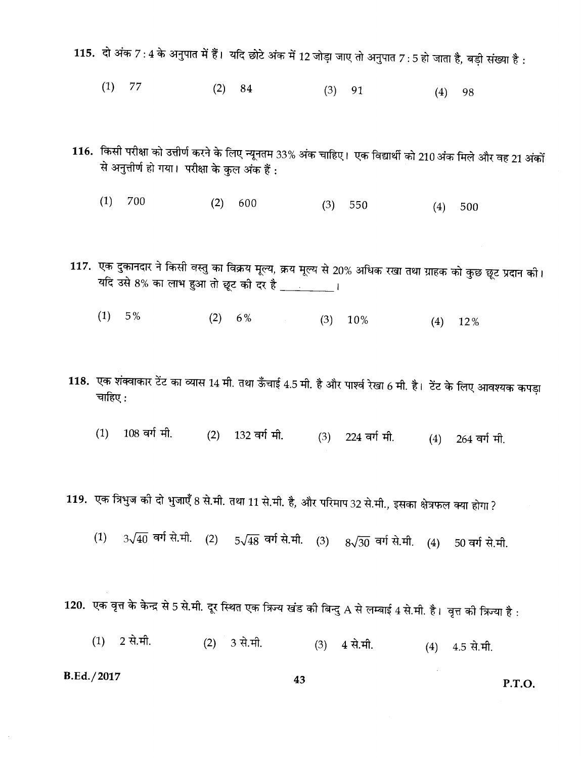115. दो अंक 7:4 के अनुपात में हैं। यदि छोटे अंक में 12 जोड़ा जाए तो अनुपात 7:5 हो जाता है, बड़ी संख्या है:

- $(1)$  77  $(2)$ 84  $(3)$ 91  $(4)$ 98
- 116. किसी परीक्षा को उत्तीर्ण करने के लिए न्यूनतम 33% अंक चाहिए। एक विद्यार्थी को 210 अंक मिले और वह 21 अंकों से अनुत्तीर्ण हो गया। परीक्षा के कुल अंक हैं:
	- $(1)$ 700  $(2)$ 600  $(3)$ 550  $(4)$ 500

117. एक दुकानदार ने किसी वस्तु का विक्रय मूल्य, क्रय मूल्य से 20% अधिक रखा तथा ग्राहक को कुछ छूट प्रदान की। यदि उसे 8% का लाभ हुआ तो छूट की दर है \_\_\_\_\_\_\_\_\_।

- $(1) 5%$  $(2) 6%$  $(3)$  10%  $(4)$  12%
- 118. एक शंक्वाकार टेंट का व्यास 14 मी. तथा ऊँचाई 4.5 मी. है और पार्श्व रेखा 6 मी. है। टेंट के लिए आवश्यक कपड़ा चाहिए:
	- $(1)$ 108 वर्ग मी.  $(2)$  132 वर्ग मी. (3) 224 वर्ग मी. 264 वर्ग मी.  $(4)$

119. एक त्रिभुज को दो भुजाएँ 8 से.मी. तथा 11 से.मी. है, और परिमाप 32 से.मी., इसका क्षेत्रफल क्या होगा ?

 $3\sqrt{40}$  वर्ग से.मी. (2)  $5\sqrt{48}$  वर्ग से.मी. (3)  $8\sqrt{30}$  वर्ग से.मी. (4) 50 वर्ग से.मी.  $(1)$ 

120. एक वृत्त के केन्द्र से 5 से.मी. दूर स्थित एक त्रिज्य खंड की बिन्दु A से लम्बाई 4 से.मी. है। वृत्त की त्रिज्या है :

2 से.मी.  $(1)$  $(2)$ 3 से.मी.  $(3)$  4 से.मी.  $(4)$  4.5 से.मी.

B.Ed./2017

P.T.O.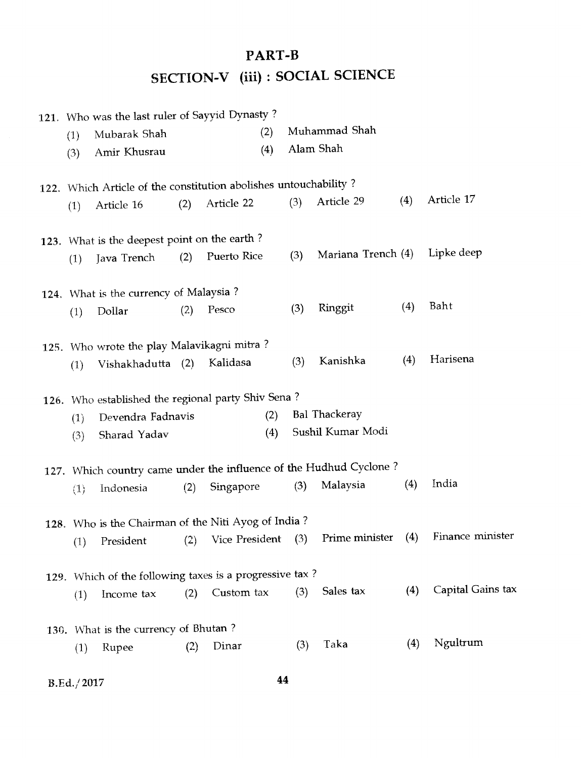# PART-B SECTION-V (iii) : SOCIAL SCIENCE

|     | 121. Who was the last ruler of Sayyid Dynasty?                   |     |                |     |     |                                                                    |     |                   |
|-----|------------------------------------------------------------------|-----|----------------|-----|-----|--------------------------------------------------------------------|-----|-------------------|
| (1) | Mubarak Shah                                                     |     |                | (2) |     | Muhammad Shah                                                      |     |                   |
| (3) | Amir Khusrau                                                     |     |                | (4) |     | Alam Shah                                                          |     |                   |
|     | 122. Which Article of the constitution abolishes untouchability? |     |                |     |     |                                                                    |     |                   |
| (1) | Article 16                                                       | (2) | Article 22     |     | (3) | Article 29                                                         | (4) | Article 17        |
|     |                                                                  |     |                |     |     |                                                                    |     |                   |
|     | 123. What is the deepest point on the earth?                     |     |                |     |     |                                                                    |     |                   |
| (1) | Java Trench                                                      | (2) | Puerto Rice    |     | (3) | Mariana Trench (4)                                                 |     | Lipke deep        |
|     | 124. What is the currency of Malaysia?                           |     |                |     |     |                                                                    |     |                   |
| (1) | Dollar                                                           | (2) | Pesco          |     | (3) | Ringgit                                                            | (4) | Baht              |
|     |                                                                  |     |                |     |     |                                                                    |     |                   |
|     | 125. Who wrote the play Malavikagni mitra?                       |     | Kalidasa       |     | (3) | Kanishka                                                           | (4) | Harisena          |
| (1) | Vishakhadutta (2)                                                |     |                |     |     |                                                                    |     |                   |
|     | 126. Who established the regional party Shiv Sena?               |     |                |     |     |                                                                    |     |                   |
| (1) | Devendra Fadnavis                                                |     |                | (2) |     | <b>Bal Thackeray</b>                                               |     |                   |
| (3) | Sharad Yadav                                                     |     |                | (4) |     | Sushil Kumar Modi                                                  |     |                   |
|     |                                                                  |     |                |     |     | 127. Which country came under the influence of the Hudhud Cyclone? |     |                   |
| (1) | Indonesia                                                        | (2) | Singapore      |     | (3) | Malaysia                                                           | (4) | India             |
|     |                                                                  |     |                |     |     |                                                                    |     |                   |
|     | 128. Who is the Chairman of the Niti Ayog of India?              |     |                |     |     |                                                                    |     |                   |
| (1) | President                                                        | (2) | Vice President |     | (3) | Prime minister                                                     | (4) | Finance minister  |
|     | 129. Which of the following taxes is a progressive tax?          |     |                |     |     |                                                                    |     |                   |
| (1) | Income tax                                                       | (2) | Custom tax     |     | (3) | Sales tax                                                          | (4) | Capital Gains tax |
|     |                                                                  |     |                |     |     |                                                                    |     |                   |
|     | 130. What is the currency of Bhutan?                             |     |                |     |     |                                                                    |     |                   |
| (1) | Rupee                                                            | (2) | Dinar          |     | (3) | Taka                                                               | (4) | Ngultrum          |
|     |                                                                  |     |                |     |     |                                                                    |     |                   |

B.Ed.; 2017 **44**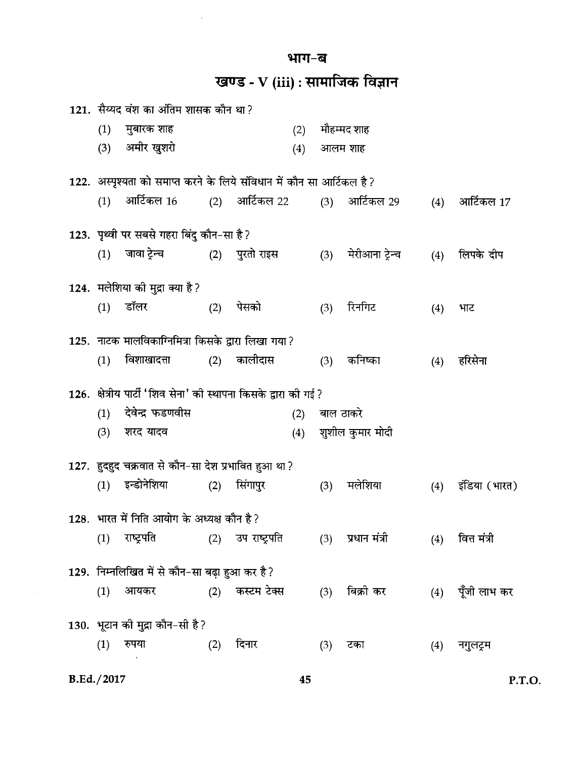भाग-ब

 $\bar{\bar{z}}$ 

खण्ड - V (iii) : सामाजिक विज्ञान

|            |     | 121. सैय्यद वंश का अंतिम शासक कौन था?                                   |     |                   |     |     |                  |     |                  |
|------------|-----|-------------------------------------------------------------------------|-----|-------------------|-----|-----|------------------|-----|------------------|
|            | (1) | मुबारक शाह                                                              |     |                   | (2) |     | मौहम्मद शाह      |     |                  |
|            |     | (3) अमीर खुशरो                                                          |     |                   | (4) |     | आलम शाह          |     |                  |
|            |     | 122.  अस्पृश्यता को समाप्त करने के लिये संविधान में कौन सा आर्टिकल है ? |     |                   |     |     |                  |     |                  |
|            | (1) | आर्टिकल 16                                                              |     | (2) आर्टिकल 22    |     |     | (3) आर्टिकल 29   | (4) | आर्टिकल 17       |
|            |     | 123. पृथ्वी पर सबसे गहरा बिंदु कौन-सा है ?                              |     |                   |     |     |                  |     |                  |
|            | (1) | जावा ट्रेन्च (2) पुरतो राइस                                             |     |                   |     | (3) | मेरीआना ट्रेन्च  | (4) | लिपके दीप        |
|            |     | 124. मलेशिया की मुद्रा क्या है?                                         |     |                   |     |     |                  |     |                  |
|            |     | $(1)$ डॉलर                                                              | (2) | पेसको             |     | (3) | रिनगिट           | (4) | भाट              |
|            |     | 125. नाटक मालविकाग्निमित्रा किसके द्वारा लिखा गया?                      |     |                   |     |     |                  |     |                  |
|            | (1) | विशाखादत्ता (2) कालीदास                                                 |     |                   |     | (3) | कनिष्का          | (4) | हरिसेना          |
|            |     | 126.  क्षेत्रीय पार्टी 'शिव सेना' को स्थापना किसके द्वारा को गई ?       |     |                   |     |     |                  |     |                  |
|            | (1) | देवेन्द्र फडणवीस                                                        |     |                   | (2) |     | बाल ठाकरे        |     |                  |
|            | (3) | शरद यादव                                                                |     |                   | (4) |     | शुशील कुमार मोदी |     |                  |
|            |     | 127. हुदहुद चक्रवात से कौन-सा देश प्रभावित हुआ था ?                     |     |                   |     |     |                  |     |                  |
|            | (1) | इन्डोनेशिया                                                             | (2) | सिंगापुर          |     | (3) | मलेशिया          | (4) | इंडिया (भारत)    |
|            |     | 128. भारत में निति आयोग के अध्यक्ष कौन है?                              |     |                   |     |     |                  |     |                  |
|            | (1) | राष्ट्रपति                                                              |     | (2) उप राष्ट्रपति |     | (3) | प्रधान मंत्री    | (4) | वित्त मंत्री     |
|            |     | 129. निम्नलिखित में से कौन-सा बढ़ा हुआ कर है?                           |     |                   |     |     |                  |     |                  |
|            | (1) | आयकर                                                                    |     | (2) कस्टम टेक्स   |     | (3) | बिक्री कर        |     | (4) पूँजी लाभ कर |
|            |     | 130. भूटान को मुद्रा कौन-सी है?                                         |     |                   |     |     |                  |     |                  |
|            | (1) | रुपया                                                                   | (2) | दिनार             |     | (3) | टका              | (4) | नगुलट्रम         |
| B.Ed./2017 |     |                                                                         |     |                   | 45  |     |                  |     | P.               |

P.T.O.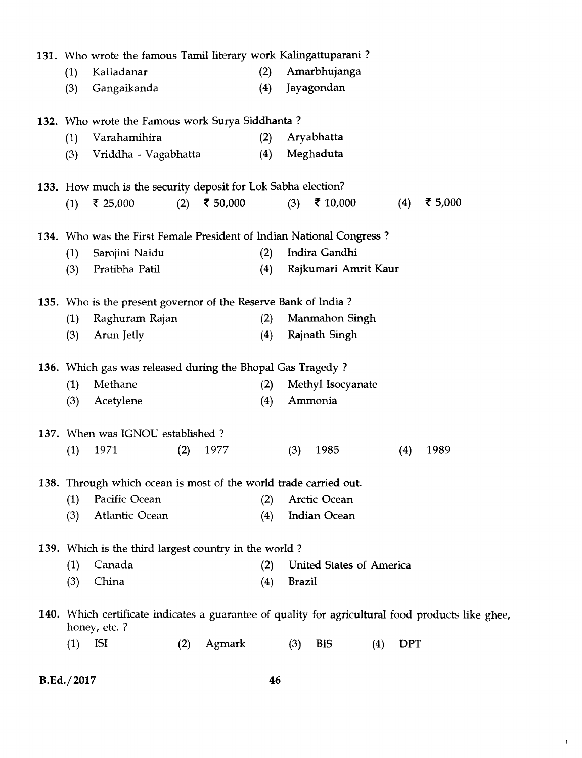|     | 131. Who wrote the famous Tamil literary work Kalingattuparani?                                                    |     |          |     |               |                          |     |            |         |  |
|-----|--------------------------------------------------------------------------------------------------------------------|-----|----------|-----|---------------|--------------------------|-----|------------|---------|--|
| (1) | Kalladanar                                                                                                         |     |          | (2) |               | Amarbhujanga             |     |            |         |  |
| (3) | Gangaikanda                                                                                                        |     |          | (4) |               | Jayagondan               |     |            |         |  |
|     | 132. Who wrote the Famous work Surya Siddhanta?                                                                    |     |          |     |               |                          |     |            |         |  |
| (1) | Varahamihira                                                                                                       |     |          | (2) |               | Aryabhatta               |     |            |         |  |
| (3) | Vriddha - Vagabhatta                                                                                               |     |          | (4) |               | Meghaduta                |     |            |         |  |
|     | 133. How much is the security deposit for Lok Sabha election?                                                      |     |          |     |               |                          |     |            |         |  |
| (1) | ₹ 25,000                                                                                                           | (2) | ₹ 50,000 |     | (3)           | ₹ 10,000                 |     | (4)        | ₹ 5,000 |  |
|     | 134. Who was the First Female President of Indian National Congress?                                               |     |          |     |               |                          |     |            |         |  |
| (1) | Sarojini Naidu                                                                                                     |     |          | (2) |               | Indira Gandhi            |     |            |         |  |
| (3) | Pratibha Patil                                                                                                     |     |          | (4) |               | Rajkumari Amrit Kaur     |     |            |         |  |
|     | 135. Who is the present governor of the Reserve Bank of India?                                                     |     |          |     |               |                          |     |            |         |  |
| (1) | Raghuram Rajan                                                                                                     |     |          | (2) |               | Manmahon Singh           |     |            |         |  |
| (3) | Arun Jetly                                                                                                         |     |          | (4) |               | Rajnath Singh            |     |            |         |  |
|     | 136. Which gas was released during the Bhopal Gas Tragedy?                                                         |     |          |     |               |                          |     |            |         |  |
| (1) | Methane                                                                                                            |     |          | (2) |               | Methyl Isocyanate        |     |            |         |  |
| (3) | Acetylene                                                                                                          |     |          | (4) |               | Ammonia                  |     |            |         |  |
|     | 137. When was IGNOU established?                                                                                   |     |          |     |               |                          |     |            |         |  |
| (1) | 1971                                                                                                               | (2) | 1977     |     | (3)           | 1985                     |     | (4)        | 1989    |  |
|     | 138. Through which ocean is most of the world trade carried out.                                                   |     |          |     |               |                          |     |            |         |  |
| (1) | Pacific Ocean                                                                                                      |     |          | (2) |               | Arctic Ocean             |     |            |         |  |
| (3) | Atlantic Ocean                                                                                                     |     |          | (4) |               | Indian Ocean             |     |            |         |  |
|     | 139. Which is the third largest country in the world?                                                              |     |          |     |               |                          |     |            |         |  |
| (1) | Canada                                                                                                             |     |          | (2) |               | United States of America |     |            |         |  |
| (3) | China                                                                                                              |     |          | (4) | <b>Brazil</b> |                          |     |            |         |  |
|     | 140. Which certificate indicates a guarantee of quality for agricultural food products like ghee,<br>honey, etc. ? |     |          |     |               |                          |     |            |         |  |
| (1) | <b>ISI</b>                                                                                                         | (2) | Agmark   |     | (3)           | <b>BIS</b>               | (4) | <b>DPT</b> |         |  |
|     |                                                                                                                    |     |          |     |               |                          |     |            |         |  |

**B.Ed./2017 46** 

 $\bar{1}$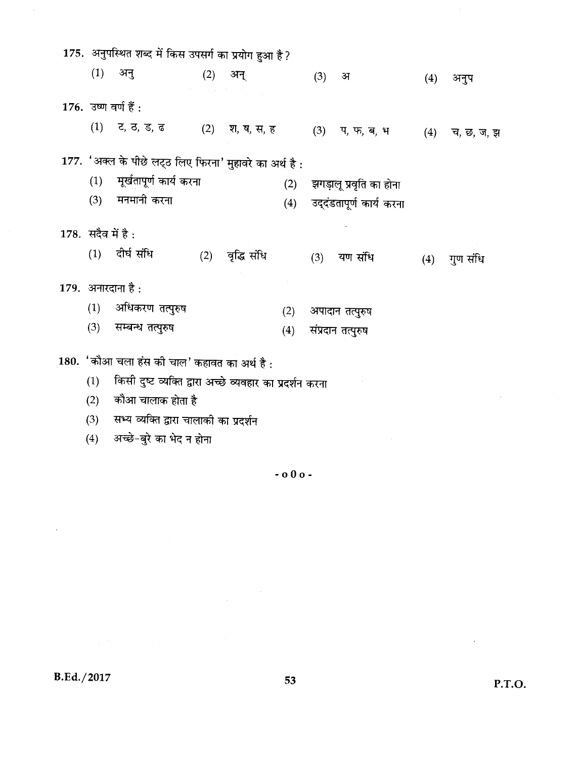| 175. अनुपस्थित शब्द में किस उपसर्ग का प्रयोग हुआ है ? |                                                          |     |                                                                                                                                     |     |     |                          |     |            |  |  |
|-------------------------------------------------------|----------------------------------------------------------|-----|-------------------------------------------------------------------------------------------------------------------------------------|-----|-----|--------------------------|-----|------------|--|--|
| (1)                                                   | अनु                                                      |     | (2) अन्                                                                                                                             |     | (3) | अ                        | (4) | अनुप       |  |  |
|                                                       | $176.$ उष्ण वर्ण हैं :                                   |     | $\mathcal{I}^{\mathcal{A}}$ , where $\mathcal{I}^{\mathcal{A}}$ , and $\mathcal{I}^{\mathcal{A}}$ , and $\mathcal{I}^{\mathcal{A}}$ |     |     |                          |     |            |  |  |
|                                                       | (1) ट, ठ, ड, ढ (2) श, ष, स, ह                            |     |                                                                                                                                     |     |     | $(3)$ प, फ, ब, भ         | (4) | च, छ, ज, झ |  |  |
|                                                       | 177. 'अक्ल के पीछे लट्ठ लिए फिरना' मुहावरे का अर्थ है:   |     |                                                                                                                                     |     |     |                          |     |            |  |  |
| (1)                                                   | मूर्खतापूर्ण कार्य करना                                  |     |                                                                                                                                     | (2) |     | झगड़ालू प्रवृति का होना  |     |            |  |  |
| (3)                                                   | मनमानी करना                                              |     |                                                                                                                                     | (4) |     | उद्दंडतापूर्ण कार्य करना |     |            |  |  |
| 178. सदैव में है:                                     |                                                          |     |                                                                                                                                     |     |     |                          |     |            |  |  |
|                                                       | (1) दीर्घ संधि                                           | (2) | वृद्धि संधि                                                                                                                         |     |     | (3) यण संधि              | (4) | गुण संधि   |  |  |
|                                                       | 179. अनारदाना है:                                        |     |                                                                                                                                     |     |     |                          |     |            |  |  |
| (1)                                                   | अधिकरण तत्पुरुष                                          |     |                                                                                                                                     | (2) |     | अपादान तत्पुरुष          |     |            |  |  |
| (3)                                                   | सम्बन्ध तत्पुरुष                                         |     |                                                                                                                                     | (4) |     | संप्रदान तत्पुरुष        |     |            |  |  |
|                                                       | 180. 'कौआ चला हंस की चाल' कहावत का अर्थ है :             |     |                                                                                                                                     |     |     |                          |     |            |  |  |
| (1)                                                   | किसी दुष्ट व्यक्ति द्वारा अच्छे व्यवहार का प्रदर्शन करना |     |                                                                                                                                     |     |     |                          |     |            |  |  |
| (2)                                                   | कौआ चालाक होता है                                        |     |                                                                                                                                     |     |     |                          |     |            |  |  |

सभ्य व्यक्ति द्वारा चालाको का प्रदर्शन  $(3)$ 

(4) अच्छे-बुरे का भेद न होना

 $\sim$  0 0 o  $\sim$ 

**B.Ed./2017** 

 $\ddot{\phantom{0}}$ 

 $\hat{\mathcal{L}}$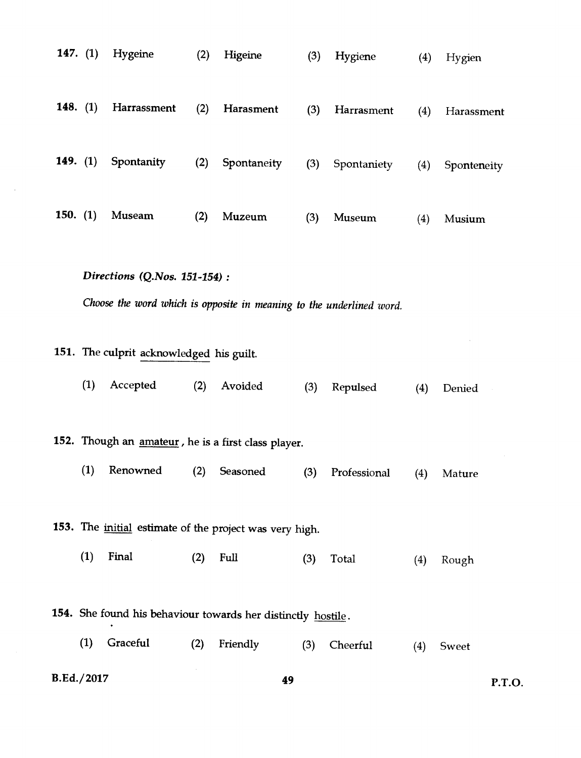|                                          | 147. $(1)$ | Hygeine                                                                                               | (2) | Higeine     | (3) | Hygiene      | (4) | Hygien      |  |  |
|------------------------------------------|------------|-------------------------------------------------------------------------------------------------------|-----|-------------|-----|--------------|-----|-------------|--|--|
| 148. $(1)$                               |            | Harrassment                                                                                           | (2) | Harasment   | (3) | Harrasment   | (4) | Harassment  |  |  |
|                                          | 149. $(1)$ | Spontanity                                                                                            | (2) | Spontaneity | (3) | Spontaniety  | (4) | Sponteneity |  |  |
| 150. $(1)$                               |            | Museam                                                                                                | (2) | Muzeum      | (3) | Museum       | (4) | Musium      |  |  |
|                                          |            | Directions (Q.Nos. 151-154) :<br>Choose the word which is opposite in meaning to the underlined word. |     |             |     |              |     |             |  |  |
| 151. The culprit acknowledged his guilt. |            |                                                                                                       |     |             |     |              |     |             |  |  |
|                                          | (1)        | Accepted                                                                                              | (2) | Avoided     | (3) | Repulsed     | (4) | Denied      |  |  |
|                                          |            | 152. Though an <i>amateur</i> , he is a first class player.                                           |     |             |     |              |     |             |  |  |
|                                          | (1)        | Renowned                                                                                              | (2) | Seasoned    | (3) | Professional | (4) | Mature      |  |  |
|                                          |            | 153. The <i>initial</i> estimate of the project was very high.                                        |     |             |     |              |     |             |  |  |
|                                          | (1)        | Final                                                                                                 | (2) | Full        | (3) | Total        | (4) | Rough       |  |  |
|                                          |            | 154. She found his behaviour towards her distinctly hostile.                                          |     |             |     |              |     |             |  |  |
|                                          | (1)        | Graceful                                                                                              | (2) | Friendly    | (3) | Cheerful     | (4) | Sweet       |  |  |
| B.Ed./2017                               |            |                                                                                                       |     | 49          |     |              |     | P.T.O.      |  |  |

 $\sim$   $\sim$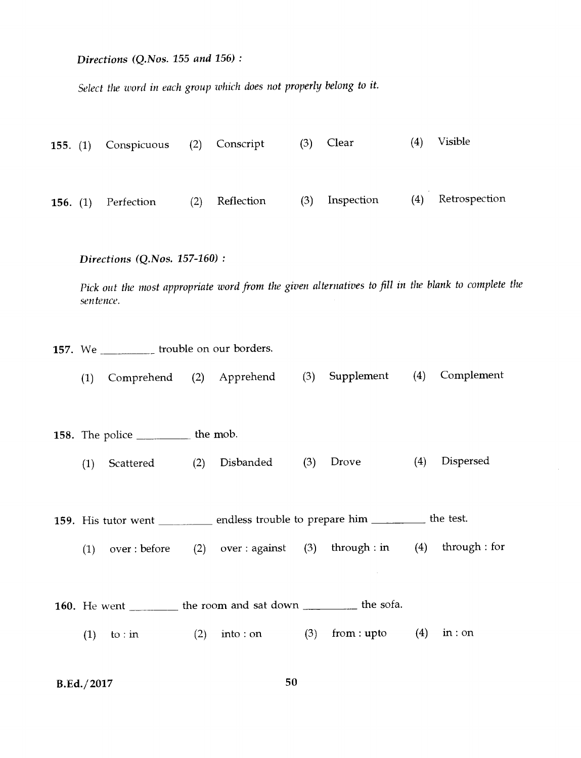*Directions (Q.Nos.* 155 *and 156) :* 

*Select the word in each group which does not properly belong to it.* 

| 155. (1) Conspicuous (2) Conscript |                |     | $(3)$ Clear | (4) | Visible           |
|------------------------------------|----------------|-----|-------------|-----|-------------------|
| 156. $(1)$ Perfection              | (2) Reflection | (3) | Inspection  |     | (4) Retrospection |

*Directions (Q.Nos. 157-160) :* 

*Pick out the most appropriate word from the given alternatives to fill in the blank to complete the sentence.* 

157. We \_\_\_\_\_\_\_\_\_\_\_ trouble on our borders.

*(1)* Comprehend (2) Apprehend (3) Supplement (4) Complement

158. The police \_\_\_\_\_\_\_\_\_\_ the mob.

- (1) Scattered (2) Disbanded (3) Drove (4) Dispersed
- 159. His tutor went \_\_\_\_\_\_\_\_\_\_ endless trouble to prepare him \_\_\_\_\_\_\_\_\_ the test.
	- (1) over : before (2) over : against (3) through : in (4) through : for
- 160. He went \_\_\_\_\_\_\_ the room and sat down \_\_\_\_\_\_\_\_ the sofa.
	- (1) to : in (2) into : on (3) from : upto (4) in : on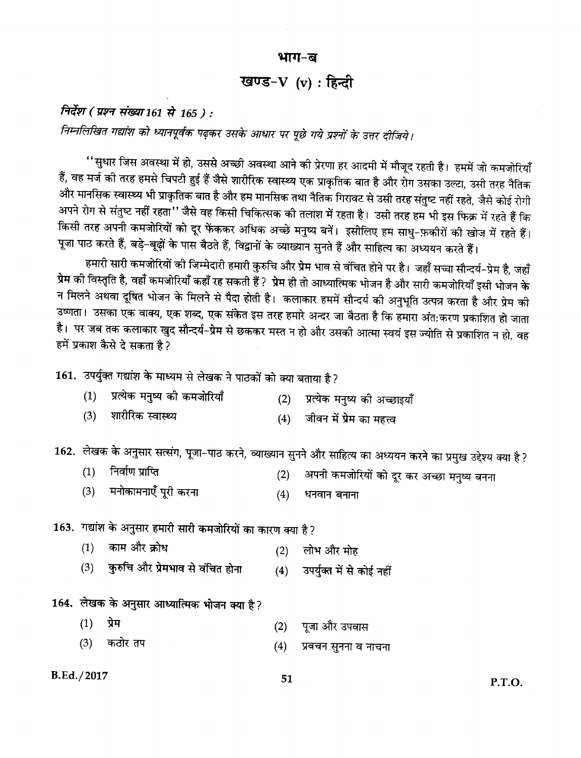#### भाग-ब

## खण्ड- $V$  (v) : हिन्दी

निर्देश (प्रश्न संख्या 161 से 165 ) :

निम्नलिखित गद्यांश को ध्यानपूर्वक पढ़कर उसके आधार पर पूछे गये प्रश्नों के उत्तर दीजिये।

''सुधार जिस अवस्था में हो, उससे अच्छी अवस्था आने की प्रेरणा हर आदमी में मौजूद रहती है। हममें जो कमजोरियाँ हैं, वह मर्ज की तरह हमसे चिपटी हुई हैं जैसे शारीरिक स्वास्थ्य एक प्राकृतिक बात है और रोग उसका उल्टा, उसी तरह नैतिक और मानसिक स्वास्थ्य भी प्राकृतिक बात है और हम मानसिक तथा नैतिक गिरावट से उसी तरह संतुष्ट नहीं रहते, जैसे कोई रोगी अपने रोग से संतुष्ट नहीं रहता'' जैसे वह किसी चिकित्सक की तलाश में रहता है। उसी तरह हम भी इस फिक्र में रहते हैं कि किसी तरह अपनी कमजोरियों को दूर फेंककर अधिक अच्छे मनुष्य बनें। इसीलिए हम साधु-फ़कीरों की खोज में रहते हैं। पूजा पाठ करते हैं, बड़े-बूढ़ों के पास बैठते हैं, विद्वानों के व्याख्यान सुनते हैं और साहित्य का अध्ययन करते हैं।

हमारी सारी कमजोरियों की जिम्मेदारी हमारी कुरुचि और प्रेम भाव से वंचित होने पर है। जहाँ सच्चा सौन्दर्य–प्रेम है, जहाँ प्रेम की विस्तृति है, वहाँ कमजोरियाँ कहाँ रह सकती हैं ? प्रेम ही तो आध्यात्मिक भोजन है और सारी कमजोरियाँ इसी भोजन के न मिलने अथवा दूषित भोजन के मिलने से पैदा होती है। कलाकार हममें सौन्दर्य की अनुभूति उत्पन्न करता है और प्रेम की उष्णता। उसका एक वाक्य, एक शब्द, एक संकेत इस तरह हमारे अन्दर जा बैठता है कि हमारा अंत:करण प्रकाशित हो जाता है। पर जब तक कलाकार खुद सौन्दर्य–प्रेम से छककर मस्त न हो और उसकी आत्मा स्वयं इस ज्योति से प्रकाशित न हो, वह हमें प्रकाश कैसे दे सकता है?

161. उपर्युक्त गद्यांश के माध्यम से लेखक ने पाठकों को क्या बताया है?

- प्रत्येक मनुष्य की कमजोरियाँ  $(1)$  $(2)$ प्रत्येक मनुष्य की अच्छाइयाँ
- शारीरिक स्वास्थ्य  $(3)$  $(4)$ जीवन में प्रेम का महत्त्व

162. लेखक के अनुसार सत्संग, पूजा-पाठ करने, व्याख्यान सुनने और साहित्य का अध्ययन करने का प्रमुख उद्देश्य क्या है?

- $(1)$ निर्वाण प्राप्ति अपनी कमजोरियों को दूर कर अच्छा मनुष्य बनना  $(2)$
- (3) मनोकामनाएँ पूरी करना  $(4)$ धनवान बनाना

163. गद्यांश के अनुसार हमारी सारी कमजोरियों का कारण क्या है?

- काम और क्रोध  $(1)$ लोभ और मोह  $(2)$
- कुरुचि और प्रेमभाव से वंचित होना  $(3)$ उपर्युक्त में से कोई नहीं  $(4)$

## 164. लेखक के अनुसार आध्यात्मिक भोजन क्या है?

- $(1)$ प्रेम पूजा और उपवास  $(2)$
- $(3)$ कठोर तप  $(4)$ प्रवचन सुनना व नाचना

#### B.Ed./2017

P.T.O.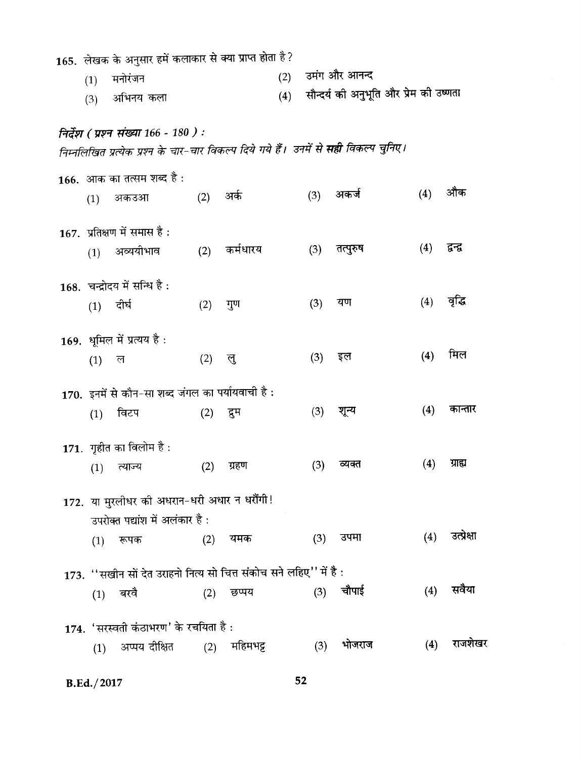|                                                                     | 165.  लेखक के अनुसार हमें कलाकार से क्या प्राप्त होता है ? |                                                                                                                                       |          |                |     |     |                                        |     |                   |  |  |
|---------------------------------------------------------------------|------------------------------------------------------------|---------------------------------------------------------------------------------------------------------------------------------------|----------|----------------|-----|-----|----------------------------------------|-----|-------------------|--|--|
|                                                                     | (1)                                                        | मनोरंजन                                                                                                                               |          |                | (2) |     | उमंग और आनन्द                          |     |                   |  |  |
|                                                                     | (3)                                                        | अभिनय कला                                                                                                                             |          |                | (4) |     | सौन्दर्य की अनुभूति और प्रेम की उष्णता |     |                   |  |  |
|                                                                     |                                                            |                                                                                                                                       |          |                |     |     |                                        |     |                   |  |  |
|                                                                     |                                                            | निर्देश ( प्रश्न संख्या 166 - 180 ) :<br>निम्नलिखित प्रत्येक प्रश्न के चार-चार विकल्प दिये गये हैं। उनमें से <b>सही</b> विकल्प चुनिए। |          |                |     |     |                                        |     |                   |  |  |
|                                                                     |                                                            |                                                                                                                                       |          |                |     |     |                                        |     |                   |  |  |
|                                                                     |                                                            | 166. आक का तत्सम शब्द है :                                                                                                            |          |                |     |     |                                        |     |                   |  |  |
|                                                                     | (1)                                                        | अकउआ                                                                                                                                  | (2) अर्क |                |     |     | (3) अकर्ज                              | (4) | औक                |  |  |
|                                                                     |                                                            | $167.$ प्रतिक्षण में समास है:                                                                                                         |          |                |     |     |                                        |     |                   |  |  |
|                                                                     |                                                            | अव्ययीभाव                                                                                                                             |          | (2) कर्मधारय   |     | (3) | तत्पुरुष                               | (4) | द्वन्द्व          |  |  |
|                                                                     | (1)                                                        |                                                                                                                                       |          |                |     |     |                                        |     |                   |  |  |
|                                                                     |                                                            | 168. चन्द्रोदय में सन्धि है:                                                                                                          |          |                |     |     |                                        |     |                   |  |  |
|                                                                     | (1) दीर्घ                                                  |                                                                                                                                       | (2)      | गुण            |     | (3) | यण                                     | (4) | वृद्धि            |  |  |
|                                                                     |                                                            |                                                                                                                                       |          |                |     |     |                                        |     |                   |  |  |
|                                                                     |                                                            | 169. धूमिल में प्रत्यय है:                                                                                                            |          |                |     |     |                                        |     |                   |  |  |
|                                                                     | $(1)$ ल                                                    |                                                                                                                                       | (2)      | ्लु            |     | (3) | इल                                     | (4) | मिल               |  |  |
| 170. इनमें से कौन-सा शब्द जंगल का पर्यायवाची है:                    |                                                            |                                                                                                                                       |          |                |     |     |                                        |     |                   |  |  |
|                                                                     | (1)                                                        | विटप                                                                                                                                  | (2)      | द्रुम          |     | (3) | शून्य                                  | (4) | कान्तार           |  |  |
|                                                                     |                                                            |                                                                                                                                       |          |                |     |     |                                        |     |                   |  |  |
|                                                                     |                                                            | 171. गृहीत का विलोम है :                                                                                                              |          |                |     |     |                                        |     |                   |  |  |
|                                                                     | (1)                                                        | त्याज्य                                                                                                                               | (2)      | ग्रहण          |     | (3) | व्यक्त                                 | (4) | ग्राह्य           |  |  |
|                                                                     |                                                            |                                                                                                                                       |          |                |     |     |                                        |     |                   |  |  |
|                                                                     |                                                            | 172. या मुरलीधर की अधरान-धरी अधार न धरौंगी!                                                                                           |          |                |     |     |                                        |     |                   |  |  |
|                                                                     |                                                            | उपरोक्त पद्यांश में अलंकार है:                                                                                                        |          |                |     |     |                                        |     |                   |  |  |
|                                                                     | (1)                                                        | रूपक                                                                                                                                  |          | (2) यमक        |     | (3) | उपमा                                   |     | $(4)$ उत्प्रेक्षा |  |  |
| 173. ''सखीन सों देत उराहनो नित्य सो चित्त संकोच सने लहिए'' में है : |                                                            |                                                                                                                                       |          |                |     |     |                                        |     |                   |  |  |
|                                                                     |                                                            | $(1)$ बरवै                                                                                                                            | (2)      | छप्पय          |     | (3) | चौपाई                                  | (4) | सवैया             |  |  |
|                                                                     |                                                            |                                                                                                                                       |          |                |     |     |                                        |     |                   |  |  |
|                                                                     |                                                            | 174. 'सरस्वती कंठाभरण' के रचयिता है :                                                                                                 |          |                |     |     |                                        |     |                   |  |  |
|                                                                     | (1)                                                        | अप्पय दीक्षित                                                                                                                         |          | $(2)$ महिमभट्ट |     | (3) | भोजराज                                 | (4) | राजशेखर           |  |  |
|                                                                     |                                                            |                                                                                                                                       |          |                |     |     |                                        |     |                   |  |  |

 $52$ 

**B.Ed./2017**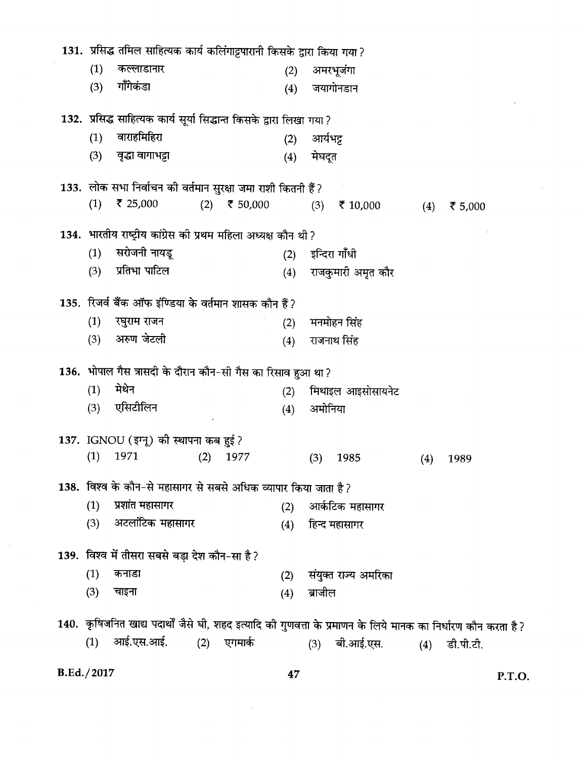|                                                                        | 131.  प्रसिद्ध तमिल साहित्यक कार्य कलिंगाट्टपारानी किसके द्वारा किया गया ? |     |                |     |          |                      |     |                                                                                                                |  |  |  |
|------------------------------------------------------------------------|----------------------------------------------------------------------------|-----|----------------|-----|----------|----------------------|-----|----------------------------------------------------------------------------------------------------------------|--|--|--|
| (1)                                                                    | कल्लाडानार                                                                 |     |                | (2) |          | अमरभूजंगा            |     |                                                                                                                |  |  |  |
| (3)                                                                    | गाँगेकंडा                                                                  |     |                | (4) |          | जयागोनडान            |     |                                                                                                                |  |  |  |
| 132.  प्रसिद्ध साहित्यक कार्य सूर्या सिद्धान्त किसके द्वारा लिखा गया ? |                                                                            |     |                |     |          |                      |     |                                                                                                                |  |  |  |
| (1)                                                                    | वाराहमिहिरा                                                                |     |                | (2) | आर्यभट्ट |                      |     |                                                                                                                |  |  |  |
| (3)                                                                    | वृद्धा वागाभट्टा                                                           |     |                | (4) | मेघदूत   |                      |     |                                                                                                                |  |  |  |
|                                                                        | 133.  लोक सभा निर्वाचन की वर्तमान सुरक्षा जमा राशी कितनी हैं ?             |     |                |     |          |                      |     |                                                                                                                |  |  |  |
| (1)                                                                    | ₹ 25,000                                                                   |     | $(2)$ ₹ 50,000 |     |          | $(3)$ ₹ 10,000       | (4) | ₹ 5,000                                                                                                        |  |  |  |
| 134. भारतीय राष्ट्रीय कांग्रेस की प्रथम महिला अध्यक्ष कौन थी ?         |                                                                            |     |                |     |          |                      |     |                                                                                                                |  |  |  |
| (1)                                                                    | सरोजनी नायडू                                                               |     |                |     |          | (2) इन्दिरा गाँधी    |     |                                                                                                                |  |  |  |
| (3)                                                                    | प्रतिभा पाटिल                                                              |     |                | (4) |          | राजकुमारी अमृत कौर   |     |                                                                                                                |  |  |  |
|                                                                        | 135. रिजर्व बैंक ऑफ इंण्डिया के वर्तमान शासक कौन हैं?                      |     |                |     |          |                      |     |                                                                                                                |  |  |  |
| (1)                                                                    | रघुराम राजन                                                                |     |                | (2) |          | मनमोहन सिंह          |     |                                                                                                                |  |  |  |
| (3)                                                                    | अरुण जेटली                                                                 |     |                | (4) |          | राजनाथ सिंह          |     |                                                                                                                |  |  |  |
|                                                                        |                                                                            |     |                |     |          |                      |     |                                                                                                                |  |  |  |
| (1)                                                                    | 136. भोपाल गैस त्रासदी के दौरान कौन-सी गैस का रिसाव हुआ था ?<br>मेथेन      |     |                |     |          |                      |     |                                                                                                                |  |  |  |
| (3)                                                                    | एसिटीलिन                                                                   |     |                | (2) |          | मिथाइल आइसोसायनेट    |     |                                                                                                                |  |  |  |
|                                                                        |                                                                            |     |                | (4) | अमोनिया  |                      |     |                                                                                                                |  |  |  |
|                                                                        | 137. IGNOU (इग्नू) की स्थापना कब हुई ?                                     |     |                |     |          |                      |     |                                                                                                                |  |  |  |
| (1)                                                                    | 1971                                                                       | (2) | 1977           |     | (3)      | 1985                 | (4) | 1989                                                                                                           |  |  |  |
|                                                                        | 138. विश्व के कौन-से महासागर से सबसे अधिक व्यापार किया जाता है?            |     |                |     |          |                      |     |                                                                                                                |  |  |  |
| (1)                                                                    | प्रशांत महासागर                                                            |     |                | (2) |          | आर्कटिक महासागर      |     |                                                                                                                |  |  |  |
| (3)                                                                    | अटलांटिक महासागर                                                           |     |                | (4) |          | हिन्द महासागर        |     |                                                                                                                |  |  |  |
|                                                                        | 139. विश्व में तीसरा सबसे बड़ा देश कौन-सा है?                              |     |                |     |          |                      |     |                                                                                                                |  |  |  |
| (1)                                                                    | कनाडा                                                                      |     |                | (2) |          | संयुक्त राज्य अमरिका |     |                                                                                                                |  |  |  |
| (3)                                                                    | चाइना                                                                      |     |                | (4) | ब्राजील  |                      |     |                                                                                                                |  |  |  |
|                                                                        |                                                                            |     |                |     |          |                      |     | 140. कृषिजनित खाद्य पदार्थों जैसे घी, शहद इत्यादि की गुणवत्ता के प्रमाणन के लिये मानक का निर्धारण कौन करता है? |  |  |  |
| (1)                                                                    | आई.एस.आई.                                                                  | (2) | एगमार्क        |     | (3)      | बी.आई.एस.            | (4) | डी.पी.टी.                                                                                                      |  |  |  |
|                                                                        |                                                                            |     |                |     |          |                      |     |                                                                                                                |  |  |  |

**B.Ed./2017** 

 $\mathcal{L}$ 

47

J.

P.T.O.